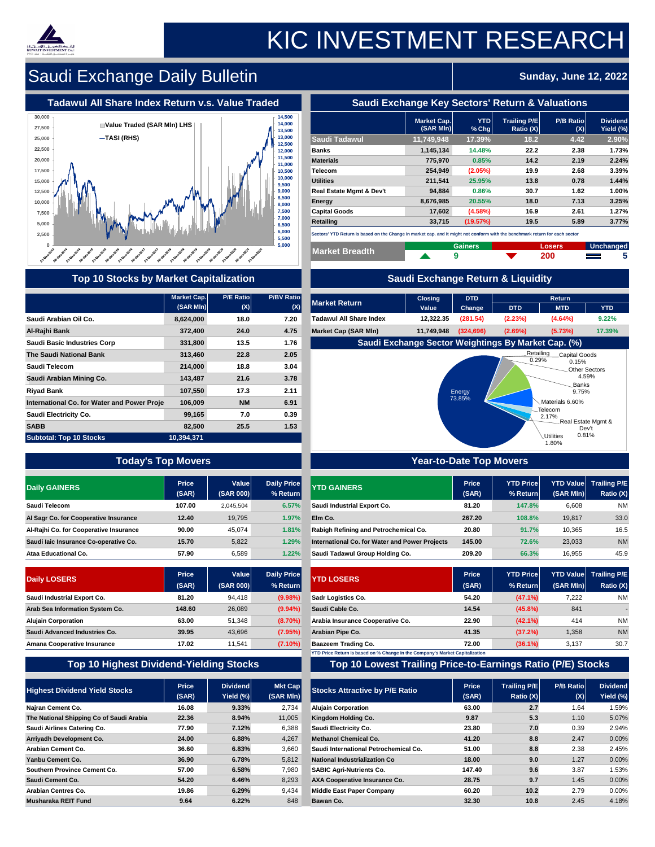|                                     | <b>Market Cap.</b> | <b>YTD</b>      | <b>Trailing P/E</b> | <b>P/B Ratiol</b> | <b>Dividend</b> |
|-------------------------------------|--------------------|-----------------|---------------------|-------------------|-----------------|
|                                     | (SAR MIn)          | $\sqrt{26}$ Chg | Ratio $(X)$         | (X)               | Yield (%)       |
| Saudi Tadawul                       | 11,749,948         | 17.39%          | 18.2                | 4.42              | 2.90%           |
| <b>Banks</b>                        | 1,145,134          | 14.48%          | 22.2                | 2.38              | 1.73%           |
| <b>Materials</b>                    | 775,970            | 0.85%           | 14.2                | 2.19              | 2.24%           |
| <b>Telecom</b>                      | 254,949            | $(2.05\%)$      | 19.9                | 2.68              | 3.39%           |
| <b>Utilities</b>                    | 211,541            | 25.95%          | 13.8                | 0.78              | 1.44%           |
| <b>Real Estate Mgmt &amp; Dev't</b> | 94,884             | 0.86%           | 30.7                | 1.62              | 1.00%           |
| <b>Energy</b>                       | 8,676,985          | 20.55%          | 18.0                | 7.13              | 3.25%           |
| <b>Capital Goods</b>                | 17,602             | $(4.58\%)$      | 16.9                | 2.61              | 1.27%           |
| <b>Retailing</b>                    | 33,715             | (19.57%)        | 19.5                | 5.89              | 3.77%           |

### **Top 10 Stocks by Market Capitalization**

|                       | <b>Gainers</b> | <b>Losers</b> | Unchanged |   |
|-----------------------|----------------|---------------|-----------|---|
| <b>Market Breadth</b> | 9              | 200           |           | 5 |
|                       |                |               |           |   |

|                                    | <b>Market Cap.</b> | <b>P/E Ratiol</b> | <b>P/BV Ratio</b> |                                | <b>Closing</b>                                             | <b>DTD</b> |            | <b>Return</b> |            |
|------------------------------------|--------------------|-------------------|-------------------|--------------------------------|------------------------------------------------------------|------------|------------|---------------|------------|
|                                    | $(SAR$ MIn)        | (X)               | (X)               | <b>Market Return</b>           | <b>Value</b>                                               | Change     | <b>DTD</b> | <b>MTD</b>    | <b>YTD</b> |
| Saudi Arabian Oil Co.              | 8,624,000          | 18.0              | 7.20              | <b>Tadawul All Share Index</b> | 12,322.35                                                  | (281.54)   | (2.23%)    | (4.64%        | 9.22%      |
| Al-Rajhi Bank                      | 372,400            | 24.0              | 4.75              | <b>Market Cap (SAR MIn)</b>    | 11,749,948                                                 | (324, 696) | $(2.69\%)$ | (5.73%)       | 17.39%     |
| <b>Saudi Basic Industries Corp</b> | 331,800            | 13.5              | 1.76              |                                | <b>Saudi Exchange Sector Weightings By Market Cap. (%)</b> |            |            |               |            |

|                                                    | <b>Market Cap.</b> | <b>P/E Ratio</b> | <b>P/BV Ratio</b> |
|----------------------------------------------------|--------------------|------------------|-------------------|
|                                                    | $(SAR$ MIn)        | (X)              | (X)               |
| Saudi Arabian Oil Co.                              | 8,624,000          | 18.0             | 7.20              |
| <b>Al-Rajhi Bank</b>                               | 372,400            | 24.0             | 4.75              |
| <b>Saudi Basic Industries Corp</b>                 | 331,800            | 13.5             | 1.76              |
| <b>The Saudi National Bank</b>                     | 313,460            | 22.8             | 2.05              |
| <b>Saudi Telecom</b>                               | 214,000            | 18.8             | 3.04              |
| Saudi Arabian Mining Co.                           | 143,487            | 21.6             | 3.78              |
| <b>Riyad Bank</b>                                  | 107,550            | 17.3             | 2.11              |
| <b>International Co. for Water and Power Proje</b> | 106,009            | <b>NM</b>        | 6.91              |
| <b>Saudi Electricity Co.</b>                       | 99,165             | 7.0              | 0.39              |
| <b>SABB</b>                                        | 82,500             | 25.5             | 1.53              |
| <b>Subtotal: Top 10 Stocks</b>                     | 10,394,371         |                  |                   |

**YTD Price Return is based on % Change in the Company's Market Capitalization**

|                                               | <b>Today's Top Movers</b> |                                  |                                | <b>Year-to-Date Top Movers</b>                        |                       |                              |                               |                                         |
|-----------------------------------------------|---------------------------|----------------------------------|--------------------------------|-------------------------------------------------------|-----------------------|------------------------------|-------------------------------|-----------------------------------------|
| <b>Daily GAINERS</b>                          | <b>Price</b><br>(SAR)     | <b>Value</b><br><b>(SAR 000)</b> | <b>Daily Price</b><br>% Return | <b>YTD GAINERS</b>                                    | <b>Price</b><br>(SAR) | <b>YTD Price</b><br>% Return | <b>YTD Value</b><br>(SAR MIn) | <b>Trailing P/E</b><br><b>Ratio (X)</b> |
| <b>Saudi Telecom</b>                          | 107.00                    | 2,045,504                        | 6.57%                          | <b>Saudi Industrial Export Co.</b>                    | 81.20                 | 147.8%                       | 6,608                         | <b>NM</b>                               |
| Al Sagr Co. for Cooperative Insurance         | 12.40                     | 19,795                           | $1.97\%$                       | Elm Co.                                               | 267.20                | 108.8%                       | 19,817                        | 33.C                                    |
| <b>Al-Rajhi Co. for Cooperative Insurance</b> | 90.00                     | 45,074                           | 1.81%                          | <b>Rabigh Refining and Petrochemical Co.</b>          | 20.80                 | 91.7%                        | 10,365                        | 16.5                                    |
| Saudi laic Insurance Co-operative Co.         | 15.70                     | 5,822                            | 1.29%                          | <b>International Co. for Water and Power Projects</b> | 145.00                | 72.6%                        | 23,033                        | NM                                      |
| <b>Ataa Educational Co.</b>                   | 57.90                     | 6,589                            | 1.22%                          | <b>Saudi Tadawul Group Holding Co.</b>                | 209.20                | 66.3%                        | 16,955                        | 45.9                                    |
| <b>Daily LOSERS</b>                           | <b>Price</b>              | <b>Value</b>                     | <b>Daily Price</b>             | <b>YTD LOSERS</b>                                     | <b>Price</b>          | <b>YTD Price</b>             | <b>YTD Value</b>              | <b>Trailing P/E</b>                     |
|                                               | (SAR)                     | <b>(SAR 000)</b>                 | % Return                       |                                                       | (SAR)                 | % Return                     | (SAR MIn)                     | <b>Ratio (X)</b>                        |
| <b>Saudi Industrial Export Co.</b>            | 81.20                     | 94,418                           | $(9.98\%)$                     | <b>Sadr Logistics Co.</b>                             | 54.20                 | $(47.1\%)$                   | 7,222                         | <b>NM</b>                               |
| <b>Arab Sea Information System Co.</b>        | 148.60                    | 26,089                           | $(9.94\%)$                     | <b>Saudi Cable Co.</b>                                | 14.54                 | $(45.8\%)$                   | 841                           |                                         |
| <b>Alujain Corporation</b>                    | 63.00                     | 51,348                           | $(8.70\%)$                     | Arabia Insurance Cooperative Co.                      | 22.90                 | $(42.1\%)$                   | 414                           | <b>NM</b>                               |
| <b>Saudi Advanced Industries Co.</b>          | 39.95                     | 43,696                           | $(7.95\%)$                     | <b>Arabian Pipe Co.</b>                               | 41.35                 | (37.2%)                      | 1,358                         | <b>NM</b>                               |
| <b>Amana Cooperative Insurance</b>            | 17.02                     | 11,541                           | $(7.10\%)$                     | <b>Baazeem Trading Co.</b>                            | 72.00                 | $(36.1\%)$                   | 3,137                         | 30.7                                    |

| <b>Highest Dividend Yield Stocks</b>     | <b>Price</b><br>(SAR) | <b>Dividend</b><br>Yield (%) | Mkt Cap<br>(SAR MIn) | <b>Stocks Attractive by P/E Ratio</b>        | <b>Price</b><br>(SAR) | <b>Trailing P/E</b><br><b>Ratio (X)</b> | <b>P/B Ratiol</b><br>(X) | <b>Dividend</b><br><b>Yield (%)</b> |
|------------------------------------------|-----------------------|------------------------------|----------------------|----------------------------------------------|-----------------------|-----------------------------------------|--------------------------|-------------------------------------|
| <b>Najran Cement Co.</b>                 | 16.08                 | 9.33%                        | 2,734                | <b>Alujain Corporation</b>                   | 63.00                 | 2.7                                     | 1.64                     | 1.59%                               |
| The National Shipping Co of Saudi Arabia | 22.36                 | 8.94%                        | 11,005               | Kingdom Holding Co.                          | 9.87                  | 5.3                                     | 1.10                     | 5.07%                               |
| <b>Saudi Airlines Catering Co.</b>       | 77.90                 | 7.12%                        | 6,388                | <b>Saudi Electricity Co.</b>                 | 23.80                 | 7.0                                     | 0.39                     | 2.94%                               |
| <b>Arriyadh Development Co.</b>          | 24.00                 | 6.88%                        | 4,267                | <b>Methanol Chemical Co.</b>                 | 41.20                 | 8.8                                     | 2.47                     | 0.00%                               |
| <b>Arabian Cement Co.</b>                | 36.60                 | 6.83%                        | 3,660                | <b>Saudi International Petrochemical Co.</b> | 51.00                 | 8.8                                     | 2.38                     | 2.45%                               |
| <b>Yanbu Cement Co.</b>                  | 36.90                 | 6.78%                        | 5,812                | <b>National Industrialization Co</b>         | 18.00                 | 9.0                                     | 1.27                     | 0.00%                               |
| <b>Southern Province Cement Co.</b>      | 57.00                 | 6.58%                        | 7,980                | <b>SABIC Agri-Nutrients Co.</b>              | 147.40                | 9.6                                     | 3.87                     | 1.53%                               |
| <b>Saudi Cement Co.</b>                  | 54.20                 | 6.46%                        | 8,293                | <b>AXA Cooperative Insurance Co.</b>         | 28.75                 | 9.7                                     | 1.45                     | 0.00%                               |
| <b>Arabian Centres Co.</b>               | 19.86                 | 6.29%                        | 9,434                | <b>Middle East Paper Company</b>             | 60.20                 | 10.2                                    | 2.79                     | 0.00%                               |
| Musharaka REIT Fund                      | 9.64                  | 6.22%                        | 848                  | <b>Bawan Co.</b>                             | 32.30                 | 10.8                                    | 2.45                     | 4.18%                               |

**Mark** 



# KIC INVESTMENT RESEARCH

## **Saudi Exchange Daily Bulletin Sunday, June 12, 2022**

### **Tadawul All Share Index Return v.s. Value Traded [Sector All Saudi Exchange Key Sectors' Return & Valuations**

### **Top 10 Highest Dividend-Yielding Stocks Top 10 Lowest Trailing Price-to-Earnings Ratio (P/E) Stocks**



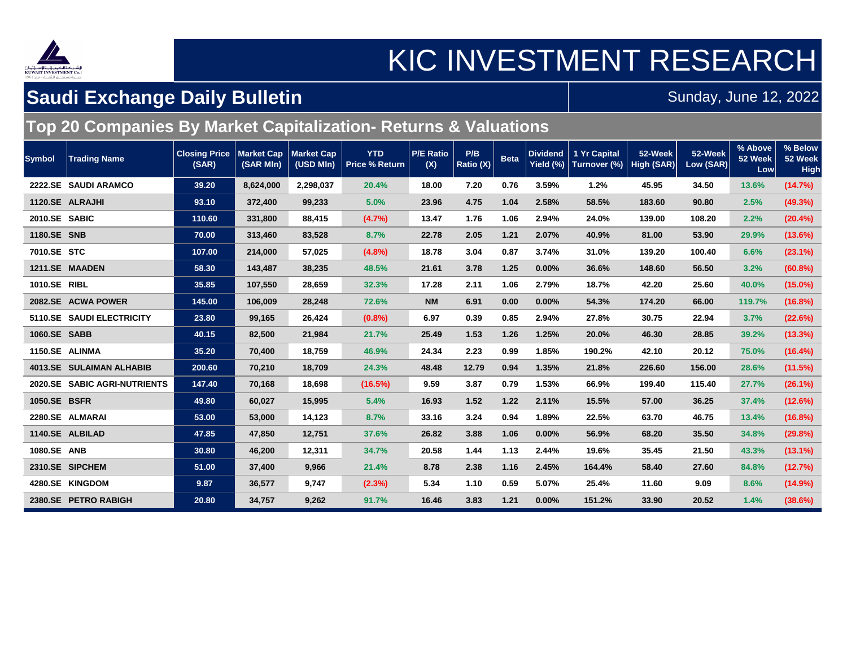### **Saudi Exchange Daily Bulletin**

| <b>Symbol</b>      | <b>Trading Name</b>             | <b>Closing Price</b><br>(SAR) | Market Cap<br>(SAR MIn) | <b>Market Cap</b><br>(USD MIn) | <b>YTD</b><br><b>Price % Return</b> | <b>P/E Ratio</b><br>(X) | P/B<br><b>Ratio (X)</b> | <b>Beta</b> | Dividend <sub>1</sub> | 1 Yr Capital<br>Yield (%) Turnover (%) | 52-Week<br>High (SAR) | 52-Week<br>Low (SAR) | % Above<br>52 Week<br><b>Low</b> | % Below<br>52 Week<br><b>High</b> |
|--------------------|---------------------------------|-------------------------------|-------------------------|--------------------------------|-------------------------------------|-------------------------|-------------------------|-------------|-----------------------|----------------------------------------|-----------------------|----------------------|----------------------------------|-----------------------------------|
|                    | 2222.SE SAUDI ARAMCO            | 39.20                         | 8,624,000               | 2,298,037                      | 20.4%                               | 18.00                   | 7.20                    | 0.76        | 3.59%                 | 1.2%                                   | 45.95                 | 34.50                | 13.6%                            | (14.7%)                           |
|                    | 1120.SE ALRAJHI                 | 93.10                         | 372,400                 | 99,233                         | 5.0%                                | 23.96                   | 4.75                    | 1.04        | 2.58%                 | 58.5%                                  | 183.60                | 90.80                | 2.5%                             | (49.3%)                           |
| 2010.SE SABIC      |                                 | 110.60                        | 331,800                 | 88,415                         | (4.7%)                              | 13.47                   | 1.76                    | 1.06        | 2.94%                 | 24.0%                                  | 139.00                | 108.20               | 2.2%                             | (20.4%)                           |
| 1180.SE SNB        |                                 | 70.00                         | 313,460                 | 83,528                         | 8.7%                                | 22.78                   | 2.05                    | 1.21        | 2.07%                 | 40.9%                                  | 81.00                 | 53.90                | 29.9%                            | (13.6%)                           |
| 7010.SE STC        |                                 | 107.00                        | 214,000                 | 57,025                         | (4.8%)                              | 18.78                   | 3.04                    | 0.87        | 3.74%                 | 31.0%                                  | 139.20                | 100.40               | 6.6%                             | (23.1%)                           |
|                    | 1211.SE MAADEN                  | 58.30                         | 143,487                 | 38,235                         | 48.5%                               | 21.61                   | 3.78                    | 1.25        | $0.00\%$              | 36.6%                                  | 148.60                | 56.50                | 3.2%                             | (60.8%)                           |
| 1010.SE RIBL       |                                 | 35.85                         | 107,550                 | 28,659                         | 32.3%                               | 17.28                   | 2.11                    | 1.06        | 2.79%                 | 18.7%                                  | 42.20                 | 25.60                | 40.0%                            | $(15.0\%)$                        |
|                    | 2082.SE ACWA POWER              | 145.00                        | 106,009                 | 28,248                         | 72.6%                               | <b>NM</b>               | 6.91                    | 0.00        | 0.00%                 | 54.3%                                  | 174.20                | 66.00                | 119.7%                           | (16.8%)                           |
|                    | 5110.SE SAUDI ELECTRICITY       | 23.80                         | 99,165                  | 26,424                         | (0.8%)                              | 6.97                    | 0.39                    | 0.85        | 2.94%                 | 27.8%                                  | 30.75                 | 22.94                | 3.7%                             | (22.6%)                           |
| 1060.SE SABB       |                                 | 40.15                         | 82,500                  | 21,984                         | 21.7%                               | 25.49                   | 1.53                    | 1.26        | 1.25%                 | 20.0%                                  | 46.30                 | 28.85                | 39.2%                            | (13.3%)                           |
|                    | 1150.SE ALINMA                  | 35.20                         | 70,400                  | 18,759                         | 46.9%                               | 24.34                   | 2.23                    | 0.99        | 1.85%                 | 190.2%                                 | 42.10                 | 20.12                | 75.0%                            | (16.4%)                           |
|                    | <b>4013.SE SULAIMAN ALHABIB</b> | 200.60                        | 70,210                  | 18,709                         | 24.3%                               | 48.48                   | 12.79                   | 0.94        | 1.35%                 | 21.8%                                  | 226.60                | 156.00               | 28.6%                            | (11.5%)                           |
|                    | 2020.SE SABIC AGRI-NUTRIENTS    | 147.40                        | 70,168                  | 18,698                         | (16.5%)                             | 9.59                    | 3.87                    | 0.79        | 1.53%                 | 66.9%                                  | 199.40                | 115.40               | 27.7%                            | (26.1%)                           |
| 1050.SE BSFR       |                                 | 49.80                         | 60,027                  | 15,995                         | 5.4%                                | 16.93                   | $1.52$                  | 1.22        | 2.11%                 | 15.5%                                  | 57.00                 | 36.25                | 37.4%                            | (12.6%)                           |
|                    | 2280.SE ALMARAI                 | 53.00                         | 53,000                  | 14,123                         | 8.7%                                | 33.16                   | 3.24                    | 0.94        | 1.89%                 | 22.5%                                  | 63.70                 | 46.75                | 13.4%                            | (16.8%)                           |
|                    | 1140.SE ALBILAD                 | 47.85                         | 47,850                  | 12,751                         | 37.6%                               | 26.82                   | 3.88                    | 1.06        | $0.00\%$              | 56.9%                                  | 68.20                 | 35.50                | 34.8%                            | (29.8%)                           |
| <b>1080.SE ANB</b> |                                 | 30.80                         | 46,200                  | 12,311                         | 34.7%                               | 20.58                   | 1.44                    | 1.13        | 2.44%                 | 19.6%                                  | 35.45                 | 21.50                | 43.3%                            | $(13.1\%)$                        |
|                    | 2310.SE SIPCHEM                 | 51.00                         | 37,400                  | 9,966                          | 21.4%                               | 8.78                    | 2.38                    | 1.16        | 2.45%                 | 164.4%                                 | 58.40                 | 27.60                | 84.8%                            | (12.7%)                           |
|                    | 4280.SE KINGDOM                 | 9.87                          | 36,577                  | 9,747                          | (2.3%)                              | 5.34                    | 1.10                    | 0.59        | 5.07%                 | 25.4%                                  | 11.60                 | 9.09                 | 8.6%                             | $(14.9\%)$                        |
|                    | 2380.SE PETRO RABIGH            | 20.80                         | 34,757                  | 9,262                          | 91.7%                               | 16.46                   | 3.83                    | 1.21        | $0.00\%$              | 151.2%                                 | 33.90                 | 20.52                | 1.4%                             | (38.6%)                           |

### **Top 20 Companies By Market Capitalization- Returns & Valuations**



### KIC INVESTMENT RESEARCH

### Sunday, June 12, 2022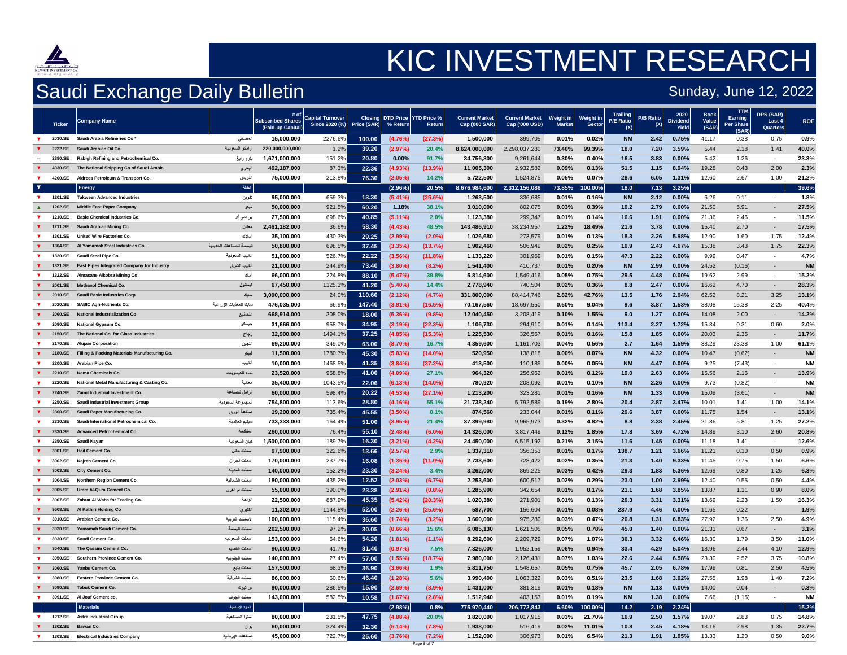

|                                | شـركـة(لكوب قــة للاســرتـْمـار عُ<br>KUWAIT INVESTMENT Co.<br>فبوة تستحصق الثقصة – منذ 961 |                                                                          |                                   |                                                       |                                           |                    |                                      |                                     | KIC INVESTMENT RESEARCHI               |                                         |                                    |                            |                                     |                    |                                  |                               |                                                    |                                               |                |
|--------------------------------|---------------------------------------------------------------------------------------------|--------------------------------------------------------------------------|-----------------------------------|-------------------------------------------------------|-------------------------------------------|--------------------|--------------------------------------|-------------------------------------|----------------------------------------|-----------------------------------------|------------------------------------|----------------------------|-------------------------------------|--------------------|----------------------------------|-------------------------------|----------------------------------------------------|-----------------------------------------------|----------------|
|                                |                                                                                             | <b>Saudi Exchange Daily Bulletin</b>                                     |                                   |                                                       |                                           |                    |                                      |                                     |                                        |                                         |                                    |                            |                                     |                    |                                  |                               |                                                    | Sunday, June 12, 2022                         |                |
|                                | <b>Ticker</b>                                                                               | <b>Company Name</b>                                                      |                                   | # of<br><b>Subscribed Shares</b><br>(Paid-up Capital) | <b>Capital Turnover</b><br>Since 2020 (%) | <b>Price (SAR)</b> | <b>Closing DTD Price</b><br>% Return | <b>YTD Price %</b><br><b>Return</b> | <b>Current Market</b><br>Cap (000 SAR) | <b>Current Market</b><br>Cap ('000 USD) | Weight in $\vert$<br><b>Market</b> | <b>Weight in</b><br>Sector | <b>Trailing</b><br><b>P/E Ratio</b> | $P/B$ Ratio<br>(X) | 2020<br><b>Dividend</b><br>Yield | <b>Book</b><br>Value<br>(SAR) | <b>TTM</b><br>Earning<br><b>Per Share</b><br>(SAR) | <b>DPS (SAR)</b><br>Last 4<br><b>Quarters</b> | <b>ROE</b>     |
|                                | 2030.SE                                                                                     | Saudi Arabia Refineries Co *                                             | المصافى                           | 15,000,000                                            | 2276.6%                                   | 100.00             | (4.76%)                              | (27.3%)                             | 1,500,000                              | 399,705                                 | 0.01%                              | 0.02%                      | <b>NM</b>                           | 2.42               | 0.75%                            | 41.17                         | 0.38                                               | 0.75                                          | 0.9%           |
|                                | 2222.SE                                                                                     | Saudi Arabian Oil Co.                                                    | امكو السعودية                     | 220,000,000,000                                       | 1.2%                                      | 39.20              | (2.97%)                              | 20.4%                               | 8,624,000,000                          | 2,298,037,280                           | 73.40%                             | 99.39%                     | <b>18.0</b>                         | 7.20               | 3.59%                            | 5.44                          | 2.18                                               | 1.41                                          | 40.0%          |
|                                |                                                                                             | Rabigh Refining and Petrochemical Co.                                    | بترو رابغ                         | 1,671,000,000                                         | 151.2%                                    | 20.80              | 0.00%                                | 91.7%                               | 34,756,800                             | 9,261,644                               | 0.30%                              | 0.40%                      | 16.5                                | 3.83               | 0.00%                            | 5.42                          | 1.26                                               |                                               | 23.3%          |
|                                | 4030.SE                                                                                     | The National Shipping Co of Saudi Arabia                                 | البحري                            | 492,187,000                                           | 87.3%                                     | 22.36              | (4.93%)                              | $(13.9\%)$                          | 11,005,300                             | 2,932,582                               | 0.09%                              | 0.13%                      | 51.5                                | 1.15               | 8.94%                            | 19.28                         | 0.43                                               | 2.00                                          | 2.3%           |
|                                | 4200.SE                                                                                     | Aldrees Petroleum & Transport Co.                                        | الدريس                            | 75,000,000                                            | 213.8%                                    | 76.30              | (2.05%)                              | 14.2%                               | 5,722,500                              | 1,524,875                               | 0.05%                              | 0.07%                      | 28.6                                | 6.05               | 1.31%                            | 12.60                         | 2.67                                               | 1.00                                          | 21.2%          |
| $\left\  \bm{\nabla} \right\ $ |                                                                                             | <b>Energy</b>                                                            | الطاقة                            |                                                       |                                           |                    | $(2.96\%)$                           | 20.5%                               | 8,676,984,600                          | 2,312,156,086                           | 73.85%                             | 100.00%                    | 18.0                                | 7.13               | 3.25%                            |                               |                                                    |                                               | 39.6%          |
|                                | 1201.SE                                                                                     | <b>Takween Advanced Industries</b>                                       | تكوين                             | 95,000,000                                            | 659.3%                                    | 13.30              | (5.41%)<br>1.18%                     | (25.6%)                             | 1,263,500                              | 336,685                                 | 0.01%                              | 0.16%                      | <b>NM</b>                           | 2.12               | 0.00%                            | 6.26                          | 0.11                                               |                                               | 1.8%           |
|                                | 1202.SE<br>1210.SE                                                                          | <b>Middle East Paper Company</b><br><b>Basic Chemical Industries Co.</b> | مېكو<br>بی سی ای                  | 50,000,000<br>27,500,000                              | 921.5%<br>698.6%                          | 60.20<br>40.85     | $(5.11\%)$                           | 38.1%<br>2.0%                       | 3,010,000<br>1,123,380                 | 802,075<br>299,347                      | 0.03%<br>0.01%                     | 0.39%<br>0.14%             | 10.2<br>16.6                        | 2.79<br>1.91       | 0.00%<br>0.00%                   | 21.50<br>21.36                | 5.91<br>2.46                                       | <b>Section</b>                                | 27.5%<br>11.5% |
|                                |                                                                                             | Saudi Arabian Mining Co.                                                 | معادن                             | 2,461,182,000                                         | 36.6%                                     | 58.30              | (4.43%)                              | 48.5%                               | 143,486,910                            | 38,234,957                              | 1.22%                              | 18.49%                     | 21.6                                | 3.78               | 0.00%                            | 15.40                         | 2.70                                               |                                               | 17.5%          |
|                                | 1301.SE                                                                                     | <b>United Wire Factories Co.</b>                                         | أسلاك                             | 35,100,000                                            | 430.3%                                    | 29.25              | $(2.99\%)$                           | $(2.0\%)$                           | ,026,680                               | 273,579                                 | 0.01%                              | 0.13%                      | 18.3                                | 2.26               | 5.98%                            | 12.90                         | 1.60                                               | .75                                           | 12.4%          |
|                                | 1304.SE                                                                                     | Al Yamamah Steel Industries Co.                                          | ليمامة للصناعات الحديديا          | 50,800,000                                            | 698.5%                                    | 37.45              | (3.35%)                              | (13.7%)                             | 1,902,460                              | 506,949                                 | 0.02%                              | 0.25%                      | 10.9                                | 2.43               | 4.67%                            | 15.38                         | 3.43                                               | 1.75                                          | 22.3%          |
|                                | 1320.SE                                                                                     | <b>Saudi Steel Pipe Co.</b>                                              | انابيب السعودية                   | 51,000,000                                            | 526.7%                                    | 22.22              | (3.56%)                              | (11.8%)                             | 1,133,220                              | 301,969                                 | 0.01%                              | 0.15%                      | 47.3                                | 2.22               | 0.00%                            | 9.99                          | 0.47                                               |                                               | 4.7%           |
|                                | 1321.SE                                                                                     | <b>East Pipes Integrated Company for Industry</b>                        | أنابيب الشرق                      | 21,000,000                                            | 244.9%                                    | 73.40              | $(3.80\%)$                           | (8.2%)                              | 1,541,400                              | 410,737                                 | 0.01%                              | 0.20%                      | <b>NM</b>                           | 2.99               | 0.00%                            | 24.52                         | (0.16)                                             | $\sim$                                        | <b>NM</b>      |
|                                | 1322.SE                                                                                     | <b>Almasane Alkobra Mining Co</b>                                        | أماك                              | 66,000,000                                            | 224.8%                                    | 88.10              | (5.47%)                              | 39.8%                               | 5,814,600                              | 1,549,416                               | 0.05%                              | 0.75%                      | 29.5                                | 4.48               | 0.00%                            | 19.62                         | 2.99                                               |                                               | 15.2%          |
|                                | 2001.SE                                                                                     | <b>Methanol Chemical Co.</b>                                             | كيمانول                           | 67,450,000                                            | 1125.3%                                   | 41.20              | (5.40%)                              | 14.4%                               | 2,778,940                              | 740,504                                 | 0.02%                              | 0.36%                      | 8.8                                 | 2.47               | 0.00%                            | 16.62                         | 4.70                                               |                                               | 28.3%          |
|                                | 2010.SE                                                                                     | <b>Saudi Basic Industries Corp</b>                                       | سابك                              | 3,000,000,000                                         | 24.0%                                     | 110.60             | (2.12%)                              | (4.7%)                              | 331,800,000                            | 88,414,746                              | 2.82%                              | 42.76%                     | 13.5                                | 1.76               | 2.94%                            | 62.52                         | 8.21                                               | 3.25                                          | 13.1%          |
|                                | 2020.SE                                                                                     | <b>SABIC Agri-Nutrients Co.</b>                                          | سابك للمغذيات الزراعية            | 476,035,000                                           | 66.9%                                     | 147.40             | $(3.91\%)$                           | (16.5%)                             | 70,167,560                             | 18,697,550                              | 0.60%                              | 9.04%                      | 9.6                                 | 3.87               | 1.53%                            | 38.08                         | 15.38                                              | 2.25                                          | 40.4%          |
|                                | 2060.SE                                                                                     | <b>National Industrialization Co</b>                                     | التصنيع                           | 668,914,000                                           | 308.0%                                    | 18.00              | (5.36%)                              | (9.8%)                              | 12,040,450                             | 3,208,419                               | 0.10%                              | 1.55%                      | 9.0                                 | 1.27               | 0.00%                            | 14.08                         | 2.00                                               | ۰.                                            | 14.2%          |
|                                | 2090.SE                                                                                     | <b>National Gypsum Co.</b>                                               | جبسكو                             | 31,666,000                                            | 958.7%                                    | 34.95              | (3.19%)                              | (22.3%)                             | 1,106,730                              | 294,910                                 | 0.01%                              | 0.14%                      | 113.4                               | 2.27               | 1.72%                            | 15.34                         | 0.31                                               | 0.60                                          | 2.0%           |
|                                | 2150.SE<br>2170.SE                                                                          | The National Co. for Glass Industries<br><b>Alujain Corporation</b>      | زجاج                              | 32,900,000                                            | 1494.1%                                   | 37.25              | (4.85%                               | (15.3%)<br>16.7%                    | 1,225,530                              | 326,567                                 | 0.01%                              | 0.16%                      | 15.8                                | 1.85               | 0.00%<br>1.59%                   | 20.03<br>38.29                | 2.35                                               |                                               | 11.7%<br>61.1% |
|                                | 2180.SE                                                                                     | Filling & Packing Materials Manufacturing Co.                            | اللجين<br>فيبكو                   | 69,200,000<br>11,500,000                              | 349.0%<br>1780.7%                         | 63.00<br>45.30     | (8.70%)<br>(5.03%                    | $(14.0\%)$                          | 4,359,600<br>520,950                   | 1,161,703<br>138,818                    | 0.04%<br>0.00%                     | 0.56%<br>0.07%             | 2.7<br><b>NM</b>                    | 1.64<br>4.32       | 0.00%                            | 10.47                         | 23.38<br>(0.62)                                    | 1.00                                          | <b>NM</b>      |
|                                | 2200.SE                                                                                     | Arabian Pipe Co.                                                         | أنابيب                            | 10,000,000                                            | 1468.5%                                   | 41.35              | (3.84%)                              | (37.2%)                             | 413,500                                | 110,185                                 | 0.00%                              | 0.05%                      | <b>NM</b>                           | 4.47               | 0.00%                            | 9.25                          | (7.43)                                             | $\sim$                                        | <b>NM</b>      |
|                                | 2210.SE                                                                                     | <b>Nama Chemicals Co.</b>                                                | نماء للكيماويات                   | 23,520,000                                            | 958.8%                                    | 41.00              | (4.09%)                              | 27.1%                               | 964,320                                | 256,962                                 | 0.01%                              | 0.12%                      | 19.0                                | 2.63               | 0.00%                            | 15.56                         | 2.16                                               |                                               | 13.9%          |
|                                | 2220.SE                                                                                     | National Metal Manufacturing & Casting Co.                               | معنية                             | 35,400,000                                            | 1043.5%                                   | 22.06              | (6.13%)                              | $(14.0\%)$                          | 780,920                                | 208,092                                 | 0.01%                              | 0.10%                      | <b>NM</b>                           | 2.26               | 0.00%                            | 9.73                          | (0.82)                                             |                                               | <b>NM</b>      |
|                                | 2240.SE                                                                                     | Zamil Industrial Investment Co.                                          | الزامل للصناعة                    | 60,000,000                                            | 598.4%                                    | 20.22              | (4.53%)                              | (27.1%)                             | 1,213,200                              | 323,281                                 | 0.01%                              | 0.16%                      | <b>NM</b>                           | 1.33               | 0.00%                            | 15.09                         | (3.61)                                             |                                               | <b>NM</b>      |
|                                | 2250.SE                                                                                     | <b>Saudi Industrial Investment Group</b>                                 | المجموعة السعودية                 | 754,800,000                                           | 113.6%                                    | 28.80              | (4.16%)                              | 55.1%                               | 21,738,240                             | 5,792,589                               | 0.19%                              | 2.80%                      | 20.4                                | 2.87               | 3.47%                            | 10.01                         | 1.41                                               | 1.00                                          | 14.1%          |
|                                | 2300.SE                                                                                     | <b>Saudi Paper Manufacturing Co.</b>                                     | صناعة الورق                       | 19,200,000                                            | 735.4%                                    | 45.55              | $(3.50\%)$                           | 0.1%                                | 874,560                                | 233,044                                 | 0.01%                              | 0.11%                      | 29.6                                | 3.87               | 0.00%                            | 11.75                         | 1.54                                               | ۰.                                            | 13.1%          |
|                                | 2310.SE                                                                                     | Saudi International Petrochemical Co.                                    | سبكيم العالمية                    | 733,333,000                                           | 164.4%                                    | 51.00              | (3.95%)                              | 21.4%                               | 37,399,980                             | 9,965,973                               | 0.32%                              | 4.82%                      | 8.8                                 | 2.38               | 2.45%                            | 21.36                         | 5.81                                               | 1.25                                          | 27.2%          |
|                                | 2330.SE                                                                                     | <b>Advanced Petrochemical Co.</b>                                        | المتقدمة                          | 260,000,000                                           | 76.4%                                     | 55.10              | (2.48%                               | $(6.0\%)$                           | 14,326,000                             | 3,817,449                               | 0.12%                              | 1.85%                      | 17.8                                | 3.69               | 4.72%                            | 14.89                         | 3.10                                               | 2.60                                          | 20.8%          |
|                                | 2350.SE                                                                                     | Saudi Kayan                                                              | كيان السعودية                     | ,500,000,000                                          | 189.7%                                    | 16.30              | $(3.21\%)$                           | (4.2%)                              | 24,450,000                             | 6,515,192                               | 0.21%                              | 3.15%                      | 11.6                                | 1.45               | 0.00%                            | 11.18                         | 1.41                                               | $\sim$                                        | 12.6%          |
|                                | 3001.SE                                                                                     | <b>Hail Cement Co.</b>                                                   | اسمنت حائل                        | 97,900,000                                            | 322.6%                                    | 13.66              | (2.57%)                              | 2.9%                                | 1,337,310                              | 356,353                                 | 0.01%                              | 0.17%                      | 138.7                               | 1.21               | 3.66%                            | 11.21                         | 0.10                                               | 0.50                                          | 0.9%           |
|                                | 3002.SE                                                                                     | <b>Najran Cement Co.</b>                                                 | اسمنت نجران                       | 170,000,000                                           | 237.7%                                    | 16.08              | (1.35%)                              | $(11.0\%)$                          | 2,733,600                              | 728,422                                 | 0.02%                              | 0.35%                      | 21.3                                | 1.40               | 9.33%                            | 11.45                         | 0.75                                               | 1.50                                          | 6.6%           |
|                                | 3003.SE                                                                                     | <b>City Cement Co.</b>                                                   | اسمنت المدينة                     | 140,000,000                                           | 152.2%                                    | 23.30              | (3.24%)                              | 3.4%                                | 3,262,000                              | 869,225                                 | 0.03%                              | 0.42%                      | 29.3                                | 1.83               | 5.36%                            | 12.69                         | 0.80                                               | 1.25                                          | 6.3%           |
|                                | 3004.SE<br>3005.SE                                                                          | <b>Northern Region Cement Co.</b><br><b>Umm Al-Qura Cement Co.</b>       | اسمنت الشمالية                    | 180,000,000                                           | 435.2%                                    | 12.52              | (2.03%)                              | (6.7%)                              | 2,253,600                              | 600,517                                 | 0.02%                              | 0.29%                      | 23.0                                | 1.00               | 3.99%                            | 12.40                         | 0.55                                               | 0.50                                          | 4.4%           |
|                                | 3007.SE                                                                                     | Zahrat Al Waha for Trading Co.                                           | اسمنت ام الق <i>ر ی</i><br>الواحة | 55,000,000<br>22,500,000                              | 390.0%<br>887.9%                          | 23.38<br>45.35     | (2.91%)<br>(5.42%)                   | (0.8%)<br>(20.3%)                   | 1,285,900<br>1,020,380                 | 342,654<br>271,901                      | 0.01%<br>0.01%                     | 0.17%<br>0.13%             | 21.1<br>20.3                        | 1.68<br>3.31       | 3.85%<br>3.31%                   | 13.87<br>13.69                | 1.11<br>2.23                                       | 0.90<br>1.50                                  | 8.0%<br>16.3%  |
|                                | 9508.SE                                                                                     | Al Kathiri Holding Co                                                    | الكثيري                           | 11,302,000                                            | 1144.8%                                   | 52.00              | (2.26%)                              | (25.6%)                             | 587,700                                | 156,604                                 | 0.01%                              | 0.08%                      | 237.9                               | 4.46               | 0.00%                            | 11.65                         | 0.22                                               | $\sim$                                        | 1.9%           |
|                                | 3010.SE                                                                                     | <b>Arabian Cement Co.</b>                                                | لاسمنت العربية                    | 100,000,000                                           | 115.4%                                    | 36.60              | (1.74%)                              | (3.2%)                              | 3,660,000                              | 975,280                                 | 0.03%                              | 0.47%                      | 26.8                                | 1.31               | 6.83%                            | 27.92                         | 1.36                                               | 2.50                                          | 4.9%           |
|                                | 3020.SE                                                                                     | Yamamah Saudi Cement Co.                                                 | اسمنت اليمامة                     | 202,500,000                                           | 97.2%                                     | 30.05              | (0.66%)                              | 15.6%                               | 6,085,130                              | 1,621,505                               | 0.05%                              | 0.78%                      | 45.0                                | 1.40               | 0.00%                            | 21.31                         | 0.67                                               | $\sim$                                        | 3.1%           |
|                                | 3030.SE                                                                                     | <b>Saudi Cement Co.</b>                                                  | اسمنت السعوديه                    | 153,000,000                                           | 64.6%                                     | 54.20              | (1.81%)                              | $(1.1\%)$                           | 8,292,600                              | 2,209,729                               | 0.07%                              | $1.07\%$                   | 30.3                                | 3.32               | 6.46%                            | 16.30                         | 1.79                                               | 3.50                                          | 11.0%          |
|                                | 3040.SE                                                                                     | The Qassim Cement Co.                                                    | اسمنت القصيم                      | 90,000,000                                            | 41.7%                                     | 81.40              | (0.97%)                              | 7.5%                                | 7,326,000                              | 1,952,159                               | 0.06%                              | 0.94%                      | 33.4                                | 4.29               | 5.04%                            | 18.96                         | 2.44                                               | 4.10                                          | 12.9%          |
|                                | 3050.SE                                                                                     | <b>Southern Province Cement Co.</b>                                      | اسمنت الجنوبيه                    | 140,000,000                                           | 27.4%                                     | 57.00              | (1.55%)                              | (18.7%)                             | 7,980,000                              | 2,126,431                               | 0.07%                              | 1.03%                      | 22.6                                | 2.44               | 6.58%                            | 23.30                         | 2.52                                               | 3.75                                          | 10.8%          |
|                                | 3060.SE                                                                                     | <b>Yanbu Cement Co.</b>                                                  | اسمنت ينبع                        | 157,500,000                                           | 68.3%                                     | 36.90              | (3.66%)                              | 1.9%                                | 5,811,750                              | 1,548,657                               | 0.05%                              | 0.75%                      | 45.7                                | 2.05               | 6.78%                            | 17.99                         | 0.81                                               | 2.50                                          | 4.5%           |
|                                | 3080.SE                                                                                     | <b>Eastern Province Cement Co.</b>                                       | اسمنت الشرقية                     | 86,000,000                                            | 60.6%                                     | 46.40              | (1.28%)                              | 5.6%                                | 3,990,400                              | 1,063,322                               | 0.03%                              | 0.51%                      | 23.5                                | 1.68               | 3.02%                            | 27.55                         | 1.98                                               | 1.40                                          | 7.2%           |
|                                | 3090.SE                                                                                     | <b>Tabuk Cement Co.</b>                                                  | س تبوك                            | 90,000,000                                            | 286.5%                                    | 15.90              | (2.69%)                              | (8.9%)                              | 1,431,000                              | 381,319                                 | 0.01%                              | 0.18%                      | <b>NM</b>                           | 1.13               | 0.00%                            | 14.00                         | 0.04                                               | $\sim$ .                                      | 0.3%           |
|                                | 3091.SE                                                                                     | Al Jouf Cement co.                                                       | اسمنت الجوف                       | 143,000,000                                           | 582.5%                                    | 10.58              | (1.67%)                              | (2.8%)                              | 1,512,940                              | 403,153                                 | 0.01%                              | 0.19%                      | <b>NM</b>                           | 1.38               | 0.00%                            | 7.66                          | (1.15)                                             |                                               | <b>NM</b>      |
|                                |                                                                                             | <b>Materials</b>                                                         | المواد الاساسية                   |                                                       |                                           |                    | (2.98%)                              | 0.8%                                | 775,970,440                            | 206,772,843                             | 6.60%                              | 100.00%                    | 14.2                                | 2.19               | 2.24%                            |                               |                                                    |                                               | 15.2%          |
|                                | 1212.SE                                                                                     | <b>Astra Industrial Group</b>                                            | أسترا الصناعية                    | 80,000,000                                            | 231.5%                                    | 47.75              | $(4.88\%)$                           | 20.0%                               | 3,820,000                              | 1,017,915                               | 0.03%                              | 21.70%                     | 16.9                                | 2.50               | 1.57%                            | 19.07                         | 2.83                                               | 0.75                                          | 14.8%          |
|                                |                                                                                             | 1302.SE Bawan Co.                                                        | بوان                              | 60,000,000                                            | 324.4%                                    | 32.30              | (5.14%)                              | (7.8%)                              | 1,938,000                              | 516,419                                 | 0.02%                              | 11.01%                     | 10.8                                | 2.45               | 4.18%                            | 13.16                         | 2.98                                               | 1.35                                          | 22.7%          |
|                                |                                                                                             | 1303.SE Electrical Industries Company                                    | صناعات كهربائية                   | 45,000,000                                            | 722.7%                                    | 25.60              | (3.76%)                              | (7.2%)<br>Page 3 of 7               | 1,152,000                              | 306,973                                 | 0.01%                              | 6.54%                      | 21.3                                | 1.91               | 1.95%                            | 13.33                         | 1.20                                               | 0.50                                          | 9.0%           |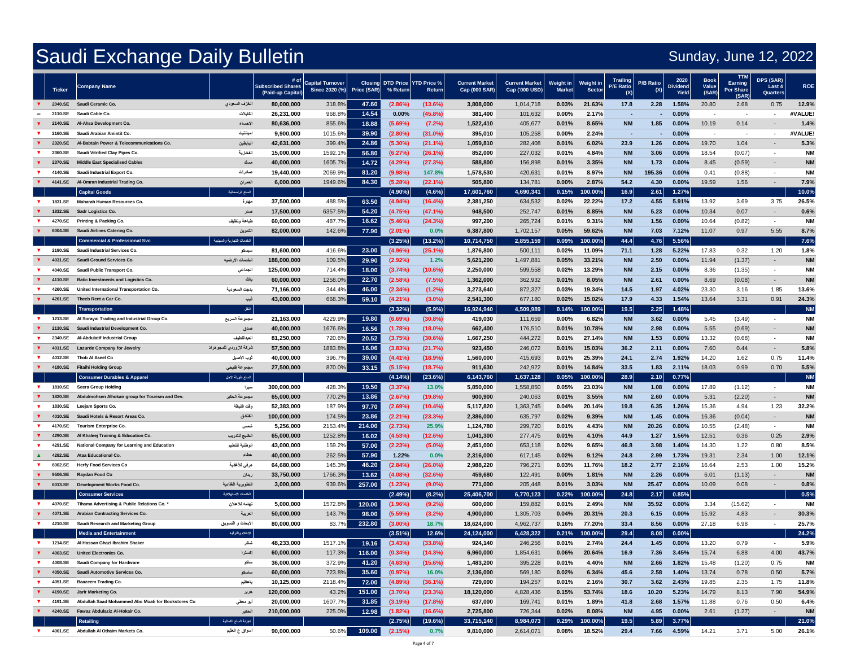|     |               | Saudi Exchange Daily Bulletin                      |                            |                                                       |                                           |                    |                                           |               |                                        |                                         |                            |                        |                                     |                                |                                         |                               |                                                           | Sunday, June 12, 2022                  |            |
|-----|---------------|----------------------------------------------------|----------------------------|-------------------------------------------------------|-------------------------------------------|--------------------|-------------------------------------------|---------------|----------------------------------------|-----------------------------------------|----------------------------|------------------------|-------------------------------------|--------------------------------|-----------------------------------------|-------------------------------|-----------------------------------------------------------|----------------------------------------|------------|
|     | <b>Ticker</b> | <b>Company Name</b>                                |                            | # of<br><b>Subscribed Shares</b><br>(Paid-up Capital) | <b>Capital Turnover</b><br>Since 2020 (%) | <b>Price (SAR)</b> | Closing DTD Price YTD Price %<br>% Return | <b>Return</b> | <b>Current Market</b><br>Cap (000 SAR) | <b>Current Market</b><br>Cap ('000 USD) | Weight in<br><b>Market</b> | Weight in<br>Sector    | <b>Trailing</b><br><b>P/E Ratio</b> | P/B Ratio<br>$\vert (X) \vert$ | 2020<br><b>Dividend</b><br><b>Yield</b> | <b>Book</b><br>Value<br>(SAR) | <b>TTM</b><br><b>Earning</b><br><b>Per Share</b><br>(SAR) | DPS (SAR)<br>Last 4<br><b>Quarters</b> | <b>ROE</b> |
|     | 2040.SE       | <b>Saudi Ceramic Co.</b>                           | الخزف السعودي              | 80,000,000                                            | 318.8%                                    | 47.60              | (2.86%)                                   | $(13.6\%)$    | 3,808,000                              | 1,014,718                               | 0.03%                      | 21.63%                 | 17.8                                | 2.28                           | 1.58%                                   | 20.80                         | 2.68                                                      | 0.75                                   | 12.9%      |
| $=$ |               | Saudi Cable Co.                                    | الكابلات                   | 26,231,000                                            | 968.8%                                    | 14.54              | 0.00%                                     | $(45.8\%)$    | 381,400                                | 101,632                                 | $0.00\%$                   | 2.17%                  | $\blacksquare$                      |                                | 0.00%                                   |                               | $\sim$                                                    |                                        | #VALUE!    |
|     |               | Al-Ahsa Development Co.                            | الاحساء                    | 80,636,000                                            | 855.6%                                    | 18.88              | (5.69%                                    | (7.2%)        | 1,522,410                              | 405,677                                 | 0.01%                      | 8.65%                  | <b>NM</b>                           | 1.85                           | $0.00\%$                                | 10.19                         | 0.14                                                      |                                        | 1.4%       |
|     | 2160.SE       | Saudi Arabian Amintit Co.                          | اميانتيت                   | 9,900,000                                             | 1015.6%                                   | 39.90              | $(2.80\%)$                                | $(31.0\%)$    | 395,010                                | 105,258                                 | $0.00\%$                   | 2.24%                  |                                     |                                | 0.00%                                   |                               |                                                           |                                        | #VALUE!    |
|     | 2320.SE       | Al-Babtain Power & Telecommunications Co.          | البابطين                   | 42,631,000                                            | 399.4%                                    | 24.86              | (5.30%                                    | $(21.1\%)$    | 1,059,810                              | 282,408                                 | 0.01%                      | 6.02%                  | 23.9                                | 1.26                           | 0.00%                                   | 19.70                         | 1.04                                                      |                                        | 5.3%       |
|     | 2360.SE       | Saudi Vitrified Clay Pipes Co.                     | الفخارية                   | 15,000,000                                            | 1592.1%                                   | 56.80              | (6.27%                                    | $(26.1\%)$    | 852,000                                | 227,032                                 | 0.01%                      | 4.84%                  | <b>NM</b>                           | 3.06                           | 0.00%                                   | 18.54                         | (0.07)                                                    |                                        | <b>NM</b>  |
|     | 2370.SE       | <b>Middle East Specialised Cables</b>              | مسك                        | 40,000,000                                            | 1605.7%                                   | 14.72              | (4.29%                                    | (27.3%)       | 588,800                                | 156,898                                 | 0.01%                      | 3.35%                  | <b>NM</b>                           | 1.73                           | 0.00%                                   | 8.45                          | (0.59)                                                    | ۰.                                     | <b>NM</b>  |
|     |               | Saudi Industrial Export Co.                        | صادرات                     | 19,440,000                                            | 2069.9%                                   | 81.20              | (9.98%                                    | 147.8%        | 1,578,530                              | 420,631                                 | 0.01%                      | 8.97%                  | <b>NM</b>                           | 195.36                         | 0.00%                                   | 0.41                          | (0.88)                                                    |                                        | <b>NM</b>  |
|     | -4141         | Al-Omran Industrial Trading Co.                    | العمران                    | 6,000,000                                             | 1949.6%                                   | 84.30              | (5.28%                                    | (22.1%)       | 505,800                                | 134,781                                 | 0.00%                      | 2.87%                  | 54.2                                | 4.30                           | $0.00\%$                                | 19.59                         | 1.56                                                      |                                        | 7.9%       |
|     |               | <b>Capital Goods</b>                               | السلع الرأسمالية           |                                                       |                                           |                    | $(4.90\%)$                                | $(4.6\%)$     | 17,601,760                             | 4,690,341                               | 0.15%                      | 100.00%                | 16.9                                | 2.61                           | 1.27%                                   |                               |                                                           |                                        | 10.0%      |
|     |               | <b>Maharah Human Resources Co.</b>                 | مهارة                      | 37,500,000                                            | 488.5%                                    | 63.50              | $(4.94\%)$                                | (16.4%)       | 2,381,250                              | 634,532                                 | 0.02%                      | 22.22%                 | 17.2                                | 4.55                           | 5.91%                                   | 13.92                         | 3.69                                                      | 3.75                                   | 26.5%      |
|     | 1832.SE       | <b>Sadr Logistics Co.</b>                          | صدر                        | 17,500,000                                            | 6357.5%                                   | 54.20              | (4.75%                                    | $(47.1\%)$    | 948,500                                | 252,747                                 | 0.01%                      | 8.85%                  | <b>NM</b>                           | 5.23                           | $0.00\%$                                | 10.34                         | 0.07                                                      | $\sim$ .                               | 0.6%       |
|     |               | <b>Printing &amp; Packing Co.</b>                  | طباعة وتغليف               | 60,000,000                                            | 487.7%                                    | 16.62              | (5.46%)                                   | (24.3%)       | 997,200                                | 265,724                                 | 0.01%                      | 9.31%                  | <b>NM</b>                           | 1.56                           | 0.00%                                   | 10.64                         | (0.82)                                                    | ۰.                                     | <b>NM</b>  |
|     | 6004.SE       | <b>Saudi Airlines Catering Co.</b>                 | التموين                    | 82,000,000                                            | 142.6%                                    | 77.90              | $(2.01\%)$                                | 0.0%          | 6,387,800                              | 1,702,157                               | 0.05%                      | 59.62%                 | <b>NM</b>                           | 7.03                           | 7.12%                                   | 11.07                         | 0.97                                                      | 5.55                                   | 8.7%       |
|     |               | <b>Commercial &amp; Professional Svc</b>           | الخدمات التجارية والمهنيبة |                                                       |                                           |                    | (3.25%)                                   | $(13.2\%)$    | 10,714,750                             | 2,855,159                               | 0.09%                      | 100.00%                | 44.4                                | 4.76                           | 5.56%                                   |                               |                                                           |                                        | 7.6%       |
|     | 2190.SE       | <b>Saudi Industrial Services Co.</b>               | سيسكو                      | 81,600,000                                            | 416.6%                                    | 23.00              | $(4.96\%)$                                | (25.1%)       | 1,876,800                              | 500,111                                 | 0.02%                      | 11.09%                 | 71.1                                | 1.28                           | 5.22%                                   | 17.83                         | 0.32                                                      | 1.20                                   | 1.8%       |
|     | 4031.SE       | <b>Saudi Ground Services Co.</b>                   | الخدمات الارضيه            | 188,000,000                                           | 109.5%                                    | 29.90              | (2.92%)                                   | 1.2%          | 5,621,200                              | 1,497,881                               | 0.05%                      | 33.21%                 | <b>NM</b>                           | 2.50                           | $0.00\%$                                | 11.94                         | (1.37)                                                    | ۰.                                     | <b>NM</b>  |
|     |               | <b>Saudi Public Transport Co.</b>                  | الجماعى                    | 125,000,000                                           | 714.4%                                    | 18.00              | (3.74%                                    | (10.6%)       | 2,250,000                              | 599,558                                 | 0.02%                      | 13.29%                 | <b>NM</b>                           | 2.15                           | 0.00%                                   | 8.36                          | (1.35)                                                    |                                        | <b>NM</b>  |
|     |               | <b>Batic Investments and Logistics Co.</b>         | باتك                       | 60,000,000                                            | 1258.0%                                   | 22.70              | (2.58%                                    | (7.5%)        | 1,362,000                              | 362,932                                 | 0.01%                      | 8.05%                  | <b>NM</b>                           | 2.61                           | 0.00%                                   | 8.69                          | (0.08)                                                    |                                        | <b>NM</b>  |
|     | 4260.SE       | United International Transportation Co.            | بدجت السعودية              | 71,166,000                                            | 344.4%                                    | 46.00              | (2.34%)                                   | (1.2%)        | 3,273,640                              | 872,327                                 | 0.03%                      | 19.34%                 | 14.5                                | 1.97                           | 4.02%                                   | 23.30                         | 3.16                                                      | 1.85                                   | 13.6%      |
|     | 4261.SE       | Theeb Rent a Car Co.                               | ديب                        | 43,000,000                                            | 668.3%                                    | 59.10              | (4.21%                                    | $(3.0\%)$     | 2,541,300                              | 677,180                                 | 0.02%                      | 15.02%                 | 17.9                                | 4.33                           | $1.54\%$                                | 13.64                         | 3.31                                                      | 0.91                                   | 24.3%      |
|     |               | Transportation                                     | النقل                      |                                                       |                                           |                    | (3.32%)                                   | $(5.9\%)$     | 16,924,940                             | 4,509,989                               | 0.14%                      | 100.00%                | 19.5                                | 2.25                           | 1.48%                                   |                               |                                                           |                                        | <b>NM</b>  |
|     | 1213.SE       | Al Sorayai Trading and Industrial Group Co.        | مجموعة السريع              | 21,163,000                                            | 4229.9%                                   | 19.80              | (6.69%                                    | (30.8%)       | 419,030                                | 111,659                                 | 0.00%                      | 6.82%                  | <b>NM</b>                           | 3.62                           | 0.00%                                   | 5.45                          | (3.49)                                                    |                                        | <b>NM</b>  |
|     | 2130.SE       | Saudi Industrial Development Co.                   | صدق                        | 40,000,000                                            | 1676.6%                                   | 16.56              | (1.78%                                    | $(18.0\%)$    | 662,400                                | 176,510                                 | 0.01%                      | 10.78%                 | <b>NM</b>                           | 2.98                           | 0.00%                                   | 5.55                          | (0.69)                                                    |                                        | <b>NM</b>  |
|     | 2340.SE       | <b>Al-Abdulatif Industrial Group</b>               | العبداللطيف                | 81,250,000                                            | 720.6%                                    | 20.52              | (3.75%                                    | (30.6%)       | 1,667,250                              | 444,272                                 | 0.01%                      | 27.14%                 | <b>NM</b>                           | 1.53                           | 0.00%                                   | 13.32                         | (0.68)                                                    |                                        | <b>NM</b>  |
|     | 4011.SE       | <b>Lazurde Company for Jewelry</b>                 | شركة لازوردي للمجوهران     | 57,500,000                                            | 1883.8%                                   | 16.06              | (3.83%                                    | (21.7%)       | 923,450                                | 246,072                                 | 0.01%                      | 15.03%                 | 36.2                                | 2.11                           | 0.00%                                   | 7.60                          | 0.44                                                      |                                        | 5.8%       |
|     | 4012.SE       | Thob Al Aseel Co                                   | ثوب الأصيل                 | 40,000,000                                            | 396.7%                                    | 39.00              | (4.41%                                    | (18.9%)       | 1,560,000                              | 415,693                                 | 0.01%                      | 25.39%                 | 24.1                                | 2.74                           | 1.92%                                   | 14.20                         | 1.62                                                      | 0.75                                   | 11.4%      |
|     | 4180          | <b>Fitaihi Holding Group</b>                       | مجموعة فتيحي               | 27,500,000                                            | 870.0%                                    | 33.15              | (5.15%                                    | (18.7%)       | 911,630                                | 242,922                                 | 0.01%                      | 14.84%                 | 33.5                                | 1.83                           | 2.11%                                   | 18.03                         | 0.99                                                      | 0.70                                   | 5.5%       |
|     |               | <b>Consumer Durables &amp; Apparel</b>             | السلع طويلة الاجل          |                                                       |                                           |                    | $(4.14\%)$                                | $(23.6\%)$    | 6,143,760                              | 1,637,128                               | 0.05%                      | 100.00%                | 28.9                                | 2.10                           | 0.77%                                   |                               |                                                           |                                        | <b>NM</b>  |
|     | 1810.SE       | <b>Seera Group Holding</b>                         | سیرا                       | 300,000,000                                           | 428.3%                                    | 19.50              | (3.37%)                                   | 13.0%         | 5,850,000                              | 1,558,850                               | 0.05%                      | 23.03%                 | <b>NM</b>                           | 1.08                           | 0.00%                                   | 17.89                         | (1.12)                                                    |                                        | <b>NM</b>  |
|     | 1820.SE       | Abdulmohsen Alhokair group for Tourism and Dev.    | مجموعة الحكير              | 65,000,000                                            | 770.2%                                    | 13.86              | (2.67%)                                   | (19.8%)       | 900,900                                | 240,063                                 | 0.01%                      | 3.55%                  | <b>NM</b>                           | 2.60                           | 0.00%                                   | 5.31                          | (2.20)                                                    |                                        | <b>NM</b>  |
|     | 1830.SE       | Leejam Sports Co.                                  | وقت اللياقة                | 52,383,000                                            | 187.9%                                    | 97.70              | (2.69%                                    | $(10.4\%)$    | 5,117,820                              | 1,363,745                               | 0.04%                      | 20.14%                 | 19.8                                | 6.35                           | 1.26%                                   | 15.36                         | 4.94                                                      | 1.23                                   | 32.2%      |
|     | 4010.SE       | Saudi Hotels & Resort Areas Co.                    | الفنادق                    | 100,000,000                                           | 174.5%                                    | 23.86              | (2.21%                                    | (23.3%)       | 2,386,000                              | 635,797                                 | 0.02%                      | 9.39%                  | <b>NM</b>                           | 1.45                           | $0.00\%$                                | 16.36                         | (0.04)                                                    |                                        | <b>NM</b>  |
|     |               | 4170.SE Tourism Enterprise Co.                     | شمس                        | 5,256,000                                             | 2153.4%                                   | 214.00             | (2.73%)                                   | 25.9%         | 1,124,780                              | 299,720                                 | 0.01%                      | $A$ $A$ $20$<br>4.4070 | <b>NIM</b>                          | 20.26                          | $\bigcap$ $\bigcap$<br>$U.UU$ /0        | 40E<br>၂ ပ.၁၁                 | (2.48)                                                    |                                        | <b>NM</b>  |
|     | 4290.SE       | Al Khaleej Training & Education Co.                | الخليج للتدريب             | 65,000,000                                            | 1252.8%                                   | 16.02              | (4.53%)                                   | (12.6%)       | 1,041,300                              | 277,475                                 | 0.01%                      | 4.10%                  | 44.9                                | 1.27                           | 1.56%                                   | 12.51                         | 0.36                                                      | 0.25                                   | 2.9%       |
|     | 4291.SE       | <b>National Company for Learning and Education</b> | الوطنية للتعليم            | 43,000,000                                            | 159.2%                                    | 57.00              | (2.23%)                                   | $(5.0\%)$     | 2,451,000                              | 653,118                                 | 0.02%                      | 9.65%                  | 46.8                                | 3.98                           | 1.40%                                   | 14.30                         | 1.22                                                      | 0.80                                   | 8.5%       |
|     | 4292.SE       | <b>Ataa Educational Co.</b>                        | عطاء                       | 40,000,000                                            | 262.5%                                    | 57.90              | 1.22%                                     | $0.0\%$       | 2,316,000                              | 617,145                                 | 0.02%                      | 9.12%                  | 24.8                                | 2.99                           | 1.73%                                   | 19.31                         | 2.34                                                      | 1.00                                   | 12.1%      |
|     | 6002.SE       | <b>Herfy Food Services Co</b>                      | هرفي للأغذية               | 64,680,000                                            | 145.3%                                    | 46.20              | (2.84%                                    | $(26.0\%)$    | 2,988,220                              | 796,271                                 | 0.03%                      | 11.76%                 | 18.2                                | 2.77                           | 2.16%                                   | 16.64                         | 2.53                                                      | 1.00                                   | 15.2%      |
|     | 9506.SE       | <b>Raydan Food Co</b>                              | ريدان                      | 33,750,000                                            | 1766.3%                                   | 13.62              | (4.08%                                    | (32.6%)       | 459,680                                | 122,491                                 | 0.00%                      | 1.81%                  | <b>NM</b>                           | 2.26                           | 0.00%                                   | 6.01                          | (1.13)                                                    |                                        | <b>NM</b>  |
|     | 6013.SE       | <b>Development Works Food Co.</b>                  | التطويرية الغذائية         | 3,000,000                                             | 939.6%                                    | 257.00             | $(1.23\%)$                                | $(9.0\%)$     | 771,000                                | 205,448                                 | 0.01%                      | 3.03%                  | <b>NM</b>                           | 25.47                          | 0.00%                                   | 10.09                         | 0.08                                                      |                                        | 0.8%       |
|     |               | <b>Consumer Services</b>                           | الخدمات الاستهلاكية        |                                                       |                                           |                    | $(2.49\%)$                                | (8.2%)        | 25,406,700                             | 6,770,123                               | 0.22%                      | 100.00%                | 24.8                                | 2.17                           | 0.85%                                   |                               |                                                           |                                        | 0.5%       |
|     | 4070.SE       | Tihama Advertising & Public Relations Co. *        | تهامه للاعلان              | 5,000,000                                             | 1572.8%                                   | 120.00             | $(1.96\%)$                                | (9.2%)        | 600,000                                | 159,882                                 | 0.01%                      | 2.49%                  | <b>NM</b>                           | 35.92                          | 0.00%                                   | 3.34                          | (15.62)                                                   |                                        | <b>NM</b>  |
|     | 4071.SE       | <b>Arabian Contracting Services Co.</b>            | العربية                    | 50,000,000                                            | 143.7%                                    | 98.00              | (5.59%)                                   | (3.2%)        | 4,900,000                              | 1,305,703                               | 0.04%                      | 20.31%                 | 20.3                                | 6.15                           | $0.00\%$                                | 15.92                         | 4.83                                                      |                                        | 30.3%      |
|     | 4210.SE       | <b>Saudi Research and Marketing Group</b>          | الأبحاث و التسويق          | 80,000,000                                            | 83.7%                                     | 232.80             | $(3.00\%)$                                | 18.7%         | 18,624,000                             | 4,962,737                               | 0.16%                      | 77.20%                 | 33.4                                | 8.56                           | 0.00%                                   | 27.18                         | 6.98                                                      |                                        | 25.7%      |
|     |               | <b>Media and Entertainment</b>                     | الاعلام والترفيه           |                                                       |                                           |                    | $(3.51\%)$                                | 12.6%         | 24,124,000                             | 6,428,322                               | 0.21%                      | $100.00\%$             | 29.4                                | 8.08                           | 0.00%                                   |                               |                                                           |                                        | 24.2%      |
|     | 1214.SE       | Al Hassan Ghazi Ibrahim Shaker                     | شاكر                       | 48,233,000                                            | 1517.1%                                   | 19.16              | (3.43%)                                   | $(33.8\%)$    | 924,140                                | 246,256                                 | 0.01%                      | 2.74%                  | 24.4                                | 1.45                           | 0.00%                                   | 13.20                         | 0.79                                                      |                                        | 5.9%       |
|     | 4003.SE       | <b>United Electronics Co.</b>                      | إكسترا                     | 60,000,000                                            | 117.3%                                    | 116.00             | $(0.34\%)$                                | (14.3%)       | 6,960,000                              | 1,854,631                               | 0.06%                      | 20.64%                 | 16.9                                | 7.36                           | 3.45%                                   | 15.74                         | 6.88                                                      | 4.00                                   | 43.7%      |
|     |               | <b>Saudi Company for Hardware</b>                  | ساكو                       | 36,000,000                                            | 372.9%                                    | 41.20              | (4.63%                                    | (15.6%)       | 1,483,200                              | 395,228                                 | 0.01%                      | 4.40%                  | <b>NM</b>                           | 2.66                           | 1.82%                                   | 15.48                         | (1.20)                                                    | 0.75                                   | <b>NM</b>  |
|     | 4050.SE       | <b>Saudi Automotive Services Co.</b>               | ساسكو                      | 60,000,000                                            | 723.8%                                    | 35.60              | (0.97%)                                   | 16.0%         | 2,136,000                              | 569,180                                 | 0.02%                      | 6.34%                  | 45.6                                | 2.58                           | 1.40%                                   | 13.74                         | 0.78                                                      | 0.50                                   | 5.7%       |
|     | 4051.SE       | <b>Baazeem Trading Co.</b>                         | باعظيم                     | 10,125,000                                            | 2118.4%                                   | 72.00              | (4.89%                                    | (36.1%)       | 729,000                                | 194,257                                 | 0.01%                      | 2.16%                  | 30.7                                | 3.62                           | 2.43%                                   | 19.85                         | 2.35                                                      | 1.75                                   | 11.8%      |
|     | 4190.SE       | <b>Jarir Marketing Co.</b>                         | جرير                       | 120,000,000                                           | 43.2%                                     | 151.00             | $(3.70\%)$                                | (23.3%)       | 18,120,000                             | 4,828,436                               | 0.15%                      | 53.74%                 | 18.6                                | 10.20                          | 5.23%                                   | 14.79                         | 8.13                                                      | 7.90                                   | 54.9%      |
|     |               | Abdullah Saad Mohammed Abo Moati for Bookstores Co | أبو معطى                   | 20,000,000                                            | 1607.7%                                   | 31.85              | (3.19%)                                   | (17.8%)       | 637,000                                | 169,741                                 | 0.01%                      | 1.89%                  | 41.8                                | 2.68                           | 1.57%                                   | 11.88                         | 0.76                                                      | 0.50                                   | 6.4%       |
|     | 4240.SE       | Fawaz Abdulaziz Al-Hokair Co.                      | الحكير                     | 210,000,000                                           | 225.0%                                    | 12.98              | (1.82%)                                   | (16.6%)       | 2,725,800                              | 726,344                                 | 0.02%                      | 8.08%                  | <b>NM</b>                           | 4.95                           | 0.00%                                   | 2.61                          | (1.27)                                                    |                                        | <b>NM</b>  |
|     |               | <b>Retailing</b>                                   | تجزئة السلع الكمالية       |                                                       |                                           |                    | (2.75%)                                   | $(19.6\%)$    | 33,715,140                             | 8,984,073                               | 0.29%                      | $ 100.00\% $           | 19.5                                | 5.89                           | 3.77%                                   |                               |                                                           |                                        | 21.0%      |
|     |               | 4001.SE Abdullah Al Othaim Markets Co.             | أسواق ع العثيم             | 90,000,000                                            | $50.6\%$                                  | 109.00             | (2.15%)                                   | 0.7%          | 9,810,000                              | 2,614,071                               | 0.08%                      | 18.52%                 | 29.4                                |                                | 7.66 4.59%                              | 14.21                         | 3.71                                                      | 5.00                                   | 26.1%      |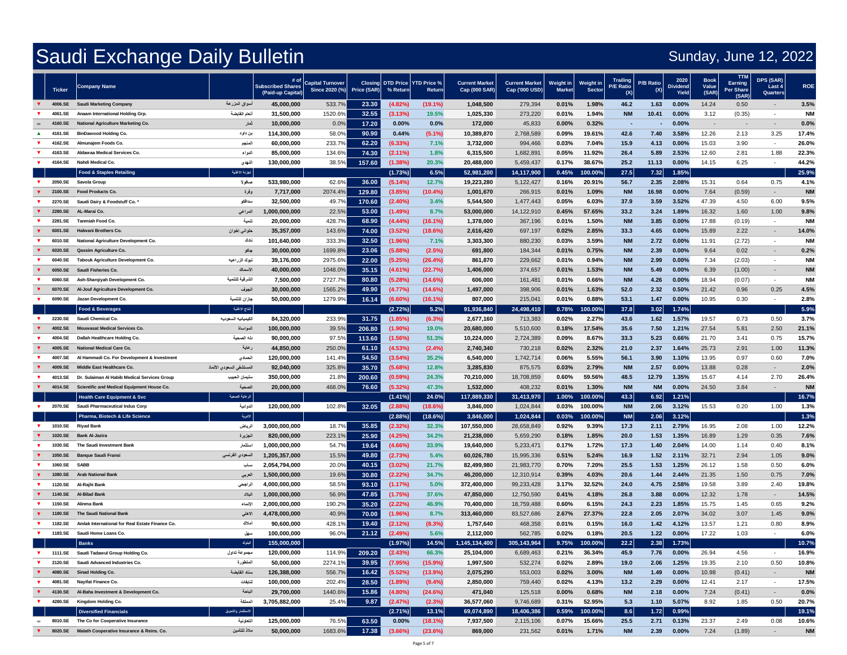|     |               | Saudi Exchange Daily Bulletin                                                    |                          |                                                       |                                           |             |                                             |                    |                                        |                                         |                            |                     |                                     |                  |                                         |                               |                                                           | Sunday, June 12, 2022                         |              |
|-----|---------------|----------------------------------------------------------------------------------|--------------------------|-------------------------------------------------------|-------------------------------------------|-------------|---------------------------------------------|--------------------|----------------------------------------|-----------------------------------------|----------------------------|---------------------|-------------------------------------|------------------|-----------------------------------------|-------------------------------|-----------------------------------------------------------|-----------------------------------------------|--------------|
|     | <b>Ticker</b> | <b>Company Name</b>                                                              |                          | # of<br><b>Subscribed Shares</b><br>(Paid-up Capital) | <b>Capital Turnover</b><br>Since 2020 (%) | Price (SAR) | Closing DTD Price   YTD Price %<br>% Return | <b>Return</b>      | <b>Current Market</b><br>Cap (000 SAR) | <b>Current Market</b><br>Cap ('000 USD) | Weight in<br><b>Market</b> | Weight in<br>Sector | <b>Trailing</b><br><b>P/E Ratio</b> | <b>P/B Ratio</b> | 2020<br><b>Dividend</b><br><b>Yield</b> | <b>Book</b><br>Value<br>(SAR) | <b>TTM</b><br><b>Earning</b><br><b>Per Share</b><br>(SAR) | <b>DPS (SAR)</b><br>Last 4<br><b>Quarters</b> | <b>ROE</b>   |
|     | 4006.SE       | <b>Saudi Marketing Company</b>                                                   | أسواق المزرعة            | 45,000,000                                            | 533.7%                                    | 23.30       | (4.82%                                      | $(19.1\%)$         | 1,048,500                              | 279,394                                 | 0.01%                      | 1.98%               | 46.2                                | 1.63             | $0.00\%$                                | 14.24                         | 0.50                                                      | ۰.                                            | 3.5%         |
|     | 4061          | Anaam International Holding Grp.                                                 | نعام القابضة             | 31,500,000                                            | 1520.6%                                   | 32.55       | (3.13%)                                     | 19.5%              | 1,025,330                              | 273,220                                 | 0.01%                      | 1.94%               | <b>NM</b>                           | 10.41            | 0.00%                                   | 3.12                          | (0.35)                                                    |                                               | <b>NM</b>    |
|     |               | <b>National Agriculture Marketing Co.</b>                                        | ثمار                     | 10,000,000                                            | 0.0%                                      | 17.20       | 0.00%                                       | 0.0%               | 172,000                                | 45,833                                  | $0.00\%$                   | 0.32%               |                                     |                  | $0.00\%$                                |                               |                                                           |                                               | 0.0%         |
|     |               | <b>BinDawood Holding Co</b>                                                      | بن داو د                 | 114,300,000                                           | 58.0%                                     | 90.90       | 0.44%                                       | $(5.1\%)$          | 10,389,870                             | 2,768,589                               | 0.09%                      | 19.61%              | 42.6                                | 7.40             | 3.58%                                   | 12.26                         | 2.13                                                      | 3.25                                          | 17.4%        |
|     |               | Almunajem Foods Co.                                                              | المنجم                   | 60,000,000                                            | 233.7%                                    | 62.20       | (6.33%)                                     | 7.1%               | 3,732,000                              | 994,466                                 | 0.03%                      | 7.04%               | 15.9                                | 4.13             | 0.009                                   | 15.03                         | 3.90                                                      |                                               | 26.0%        |
|     |               | <b>Aldawaa Medical Services Co.</b>                                              | الدواع                   | 85,000,000                                            | 134.6%                                    | 74.30       | $(2.11\%)$                                  | 1.8%               | 6,315,500                              | 1,682,891                               | 0.05%                      | 11.92%              | 26.4                                | 5.89             | 2.53%                                   | 12.60                         | 2.81                                                      | 1.88                                          | 22.3%        |
|     | -4164         | <b>Nahdi Medical Co.</b>                                                         | النهدي                   | 130,000,000                                           | 38.5%                                     | 157.60      | 1.38%                                       | 20.3%              | 20,488,000                             | 5,459,437                               | 0.17%                      | 38.67%              | 25.2                                | 11.13            | 0.00%                                   | 14.15                         | 6.25                                                      |                                               | 44.2%        |
|     |               | <b>Food &amp; Staples Retailing</b>                                              | تجزئة الاغذية            |                                                       |                                           |             | $(1.73\%)$                                  | 6.5%               | 52,981,200                             | 14,117,900                              | 0.45%                      | 100.00%             | 27.5                                | 7.32             | 1.85%                                   |                               |                                                           |                                               | 25.9%        |
|     | 2050.SE       | <b>Savola Group</b>                                                              | صافولا                   | 533,980,000                                           | 62.6%                                     | 36.00       | (5.14%)                                     | 12.7%              | 19,223,280                             | 5,122,427                               | 0.16%                      | 20.91%              | 56.7                                | 2.35             | 2.08%                                   | 15.31                         | 0.64                                                      | 0.75                                          | 4.1%         |
|     | 2100.SE       | <b>Food Products Co.</b>                                                         | وفرة                     | 7,717,000                                             | 2074.4%                                   | 129.80      | (3.85%                                      | $(10.4\%)$         | 1,001,670                              | 266,915                                 | 0.01%                      | 1.09%               | <b>NM</b>                           | 16.98            | 0.00%                                   | 7.64                          | (0.59)                                                    | $\sim$                                        | <b>NM</b>    |
|     | 2270.SE       | Saudi Dairy & Foodstuff Co.                                                      | سدافكو                   | 32,500,000                                            | 49.7%                                     | 170.60      | $(2.40\%)$                                  | 3.4%               | 5,544,500                              | 1,477,443                               | 0.05%                      | 6.03%               | 37.9                                | 3.59             | 3.52%                                   | 47.39                         | 4.50                                                      | 6.00                                          | 9.5%         |
|     | 2280.SE       | AL-Marai Co.                                                                     | المراعي                  | ,000,000,000                                          | 22.5%                                     | 53.00       | (1.49%)                                     | 8.7%               | 53,000,000                             | 14,122,910                              | 0.45%                      | 57.65%              | 33.2                                | 3.24             | 1.89%                                   | 16.32                         | 1.60                                                      | 1.00                                          | 9.8%         |
|     | 2281.SE       | <b>Tanmiah Food Co.</b>                                                          | تنمية                    | 20,000,000                                            | 428.7%                                    | 68.90       | (4.44%                                      | (16.1%)            | 1,378,000                              | 367,196                                 | 0.01%                      | 1.50%               | <b>NM</b>                           | 3.85             | 0.00%                                   | 17.88                         | (0.19)                                                    |                                               | <b>NM</b>    |
|     | 6001.SE       | <b>Halwani Brothers Co.</b>                                                      | حلواني إخوان             | 35,357,000                                            | 143.6%                                    | 74.00       | (3.52%)                                     | (18.6%)            | 2,616,420                              | 697,197                                 | 0.02%                      | 2.85%               | 33.3                                | 4.65             | $0.00\%$                                | 15.89                         | 2.22                                                      |                                               | 14.0%        |
|     | 6010.SE       | National Agriculture Development Co.                                             | نادك                     | 101,640,000                                           | 333.3%                                    | 32.50       | (1.96%)                                     | 7.1%               | 3,303,300                              | 880,230                                 | 0.03%                      | 3.59%               | <b>NM</b>                           | 2.72             | 0.00%                                   | 11.91                         | (2.72)                                                    |                                               | <b>NM</b>    |
|     | 6020.SE       | <b>Qassim Agriculture Co.</b>                                                    | <b>ہے جاکو</b>           | 30,000,000                                            | 1699.8%                                   | 23.06       | (5.88%                                      | (2.5%)             | 691,800                                | 184,344                                 | 0.01%                      | 0.75%               | <b>NM</b>                           | 2.39             | 0.00%                                   | 9.64                          | 0.02                                                      | ۰.                                            | 0.2%         |
|     | 6040.SE       | Tabouk Agriculture Development Co.                                               | تبوك الزراعيه            | 39,176,000                                            | 2975.6%                                   | 22.00       | (5.25%                                      | (26.4%)            | 861,870                                | 229,662                                 | 0.01%                      | 0.94%               | <b>NM</b>                           | 2.99             | 0.00%                                   | 7.34                          | (2.03)                                                    |                                               | <b>NM</b>    |
|     | 6050.SE       | <b>Saudi Fisheries Co.</b>                                                       | الأسماك                  | 40,000,000                                            | 1048.0%                                   | 35.15       | $(4.61\%)$                                  | (22.7%)            | 1,406,000                              | 374,657                                 | 0.01%                      | 1.53%               | <b>NM</b>                           | 5.49             | 0.00%                                   | 6.39                          | (1.00)                                                    |                                               | <b>NM</b>    |
|     | 6060.SE       | Ash-Sharqiyah Development Co.                                                    | الشرقية للتنمية          | 7,500,000                                             | 2727.7%                                   | 80.80       | (5.28%                                      | (14.6%)            | 606,000                                | 161,481                                 | 0.01%                      | 0.66%               | <b>NM</b>                           | 4.26             | 0.00%                                   | 18.94                         | (0.07)                                                    |                                               | <b>NM</b>    |
|     | 6070.SE       | Al-Jouf Agriculture Development Co.                                              | الجوف                    | 30,000,000                                            | 1565.2%                                   | 49.90       | $(4.77\%)$                                  | $(14.6\%)$         | 1,497,000                              | 398,906                                 | 0.01%                      | 1.63%               | 52.0                                | 2.32             | 0.50%                                   | 21.42                         | 0.96                                                      | 0.25                                          | 4.5%         |
|     | 6090.SE       | Jazan Development Co.                                                            | جازان للتنمية            | 50,000,000                                            | 1279.9%                                   | 16.14       | $(6.60\%)$                                  | (16.1%)            | 807,000                                | 215,041                                 | 0.01%                      | 0.88%               | 53.1                                | 1.47             | 0.00%                                   | 10.95                         | 0.30                                                      |                                               | 2.8%         |
|     |               | <b>Food &amp; Beverages</b>                                                      | ا انتاج الاغذية ا        |                                                       |                                           |             | (2.72%)                                     | 5.2%               | 91,936,840                             | 24,498,410                              | 0.78%                      | 100.00%             | 37.8                                | 3.02             | 1.74%                                   |                               |                                                           |                                               | 5.9%         |
|     | 2230.SE       | <b>Saudi Chemical Co.</b>                                                        | الكيميائيه السعوديه      | 84,320,000                                            | 233.9%                                    | 31.75       | $(1.85\%)$                                  | (6.3%)             | 2,677,160                              | 713,383                                 | 0.02%                      | 2.27%               | 43.6                                | 1.62             | 1.57%                                   | 19.57                         | 0.73                                                      | 0.50                                          | 3.7%         |
|     | 4002.SE       | <b>Mouwasat Medical Services Co.</b>                                             | المواساة                 | 100,000,000                                           | 39.5%                                     | 206.80      | 1.90%                                       | 19.0%              | 20,680,000                             | 5,510,600                               | 0.18%                      | 17.54%              | 35.6                                | 7.50             | 1.21%                                   | 27.54                         | 5.81                                                      | 2.50                                          | 21.1%        |
|     | 4004.SE       | Dallah Healthcare Holding Co.                                                    | دله الصحية               | 90,000,000                                            | 97.5%                                     | 113.60      | (1.56%)                                     | 51.3%              | 10,224,000                             | 2,724,389                               | 0.09%                      | 8.67%               | 33.3                                | 5.23             | 0.66%                                   | 21.70                         | 3.41                                                      | 0.75                                          | 15.7%        |
|     | 4005.SE       | <b>National Medical Care Co.</b>                                                 | رعاية                    | 44,850,000                                            | 250.0%                                    | 61.10       | (4.53%)                                     | $(2.4\%)$          | 2,740,340                              | 730,218                                 | 0.02%                      | 2.32%               | 21.0                                | 2.37             | 1.64%                                   | 25.73                         | 2.91                                                      | 1.00                                          | 11.3%        |
|     |               | Al Hammadi Co. For Development & Investment                                      | الحمادى                  | 120,000,000                                           | 141.4%                                    | 54.50       | (3.54%)                                     | 35.2%              | 6,540,000                              | 1,742,714                               | 0.06%                      | 5.55%               | 56.1                                | 3.90             | 1.10%                                   | 13.95                         | 0.97                                                      | 0.60                                          | 7.0%         |
|     | 4009.SE       | Middle East Healthcare Co.                                                       | المستشفى السعودي الألماذ | 92,040,000                                            | 325.8%                                    | 35.70       | (5.68%)                                     | 12.8%              | 3,285,830                              | 875,575                                 | 0.03%                      | 2.79%               | <b>NM</b>                           | 2.57             | 0.00%                                   | 13.88                         | 0.28                                                      |                                               | 2.0%         |
|     | 4013.SE       | Dr. Sulaiman Al Habib Medical Services Group                                     | سليمان الحبيب            | 350,000,000                                           | 21.8%                                     | 200.60      | $(0.59\%)$                                  | 24.3%              | 70,210,000                             | 18,708,859                              | 0.60%                      | 59.56%              | 48.5                                | 12.79            | 1.35%                                   | 15.67                         | 4.14                                                      | 2.70                                          | 26.4%        |
|     | 4014.SE       | <b>Scientific and Medical Equipment House Co.</b>                                | الصحية                   | 20,000,000                                            | 468.0%                                    | 76.60       | (5.32%)                                     | 47.3%              | 1,532,000                              | 408,232                                 | 0.01%                      | 1.30%               | <b>NM</b>                           | <b>NM</b>        | $0.00\%$                                | 24.50                         | 3.84                                                      |                                               | <b>NM</b>    |
|     | 2070.SE       | <b>Health Care Equipment &amp; Svc</b><br><b>Saudi Pharmaceutical Indus Corp</b> | الرعاية الصحية           |                                                       |                                           |             | $(1.41\%)$                                  | 24.0%              | 117,889,330                            | 31,413,970                              | 1.00%                      | 100.00%             | 43.3 <br><b>NM</b>                  | 6.92<br>2.06     | 1.21%<br>3.12%                          |                               |                                                           | 1.00                                          | 16.7%        |
|     |               | Pharma, Biotech & Life Science                                                   | الدوائية<br>الادوية      | 120,000,000                                           | 102.8%                                    | 32.05       | (2.88%<br>(2.88%)                           | (18.6%)<br>(18.6%) | 3,846,000                              | 1,024,844                               | 0.03%<br>0.03%             | 100.00%<br>100.00%  | <b>NM</b>                           | 2.06             | 3.12%                                   | 15.53                         | 0.20                                                      |                                               | 1.3%<br>1.3% |
|     | 1010.SE       | <b>Riyad Bank</b>                                                                | الرياض                   | 3,000,000,000                                         | 18 7%                                     | 35.85       | (2.32%)                                     | 32.3%              | 3,846,000<br>107,550,000               | 1,024,844<br>28,658,849                 | 0.92%                      | <b>Q 300/</b>       |                                     |                  | 2.700/                                  | 16. Q.R                       | 2.08                                                      | 1.00                                          | 12.2%        |
|     | 1020.SE       | <b>Bank Al-Jazira</b>                                                            | الجزيرة                  | 820,000,000                                           | 223.1%                                    | 25.90       | (4.25%)                                     | 34.2%              | 21,238,000                             | 5,659,290                               | U.JŁ<br>0.18%              | J.JJ /(<br>1.85%    | 20.0                                | 1.53             | 1.35%                                   | טט.טו<br>16.89                | 1.29                                                      | 0.35                                          | 7.6%         |
|     | 1030.SE       | The Saudi Investment Bank                                                        | استثمار                  | ,000,000,000                                          | 54.7%                                     | 19.64       | (4.66%)                                     | 33.9%              | 19,640,000                             | 5,233,471                               | 0.17%                      | 1.72%               | 17.3                                | 1.40             | 2.04%                                   | 14.00                         | 1.14                                                      | 0.40                                          | 8.1%         |
|     | 1050.SE       | <b>Banque Saudi Fransi</b>                                                       | السعودي الفرنس <i>ي</i>  | ,205,357,000                                          | 15.5%                                     | 49.80       | (2.73%)                                     | 5.4%               | 60,026,780                             | 15,995,336                              | 0.51%                      | 5.24%               | 16.9                                | 1.52             | 2.11%                                   | 32.71                         | 2.94                                                      | 1.05                                          | 9.0%         |
|     | 1060.SE       | <b>SABB</b>                                                                      | ساب                      | 2,054,794,000                                         | 20.0%                                     | 40.15       | (3.02%                                      | 21.7%              | 82,499,980                             | 21,983,770                              | 0.70%                      | 7.20%               | 25.5                                | 1.53             | 1.25%                                   | 26.12                         | 1.58                                                      | 0.50                                          | 6.0%         |
|     | 1080.SE       | <b>Arab National Bank</b>                                                        | العربي                   | 1,500,000,000                                         | 19.6%                                     | 30.80       | (2.22%)                                     | 34.7%              | 46,200,000                             | 12,310,914                              | 0.39%                      | 4.03%               | 20.6                                | 1.44             | 2.44%                                   | 21.35                         | 1.50                                                      | 0.75                                          | 7.0%         |
|     | 1120.SE       | Al-Rajhi Bank                                                                    | الراجحي                  | 4,000,000,000                                         | 58.5%                                     | 93.10       | (1.17%)                                     | 5.0%               | 372,400,000                            | 99,233,428                              | 3.17%                      | 32.52%              | 24.0                                | 4.75             | 2.58%                                   | 19.58                         | 3.89                                                      | 2.40                                          | 19.8%        |
|     | 1140.SE       | <b>Al-Bilad Bank</b>                                                             | البلاد                   | 1,000,000,000                                         | 56.9%                                     | 47.85       | (1.75%)                                     | 37.6%              | 47,850,000                             | 12,750,590                              | 0.41%                      | 4.18%               | 26.8                                | 3.88             | $0.00\%$                                | 12.32                         | 1.78                                                      | $\sim$                                        | 14.5%        |
|     | 1150.SE       | <b>Alinma Bank</b>                                                               | الإنماء                  | 2,000,000,000                                         | 190.2%                                    | 35.20       | (2.22%)                                     | 46.9%              | 70,400,000                             | 18,759,488                              | 0.60%                      | 6.15%               | 24.3                                | 2.23             | 1.85%                                   | 15.75                         | 1.45                                                      | 0.65                                          | 9.2%         |
|     |               | <b>The Saudi National Bank</b>                                                   | الاهلي                   | 4,478,000,000                                         | 40.9%                                     | 70.00       | $(1.96\%)$                                  | 8.7%               | 313,460,000                            | 83,527,686                              | 2.67%                      | 27.37%              | 22.8                                | 2.05             | 2.07%                                   | 34.02                         | 3.07                                                      | 1.45                                          | 9.0%         |
|     | 1182.SE       | Amlak International for Real Estate Finance Co.                                  | أملاك                    | 90,600,000                                            | 428.1%                                    | 19.40       | (2.12%)                                     | (8.3%)             | 1,757,640                              | 468,358                                 | 0.01%                      | 0.15%               | 16.0                                | 1.42             | 4.12%                                   | 13.57                         | 1.21                                                      | 0.80                                          | 8.9%         |
|     | 1183.SE       | Saudi Home Loans Co.                                                             | سهل                      | 100,000,000                                           | 96.0%                                     | 21.12       | (2.49%                                      | 5.6%               | 2,112,000                              | 562,785                                 | 0.02%                      | 0.18%               | 20.5                                | 1.22             | 0.00%                                   | 17.22                         | 1.03                                                      |                                               | 6.0%         |
|     |               | <b>Banks</b>                                                                     | البنوك                   | $155,000,000$ $ $                                     |                                           |             | (1.97%)                                     | 14.5%              | ,145,134,400                           | 305,143,964                             | 9.75%                      | 100.00%             | 22.2                                | 2.38             | 1.73%                                   |                               |                                                           |                                               | 10.7%        |
|     | 1111.SE       | Saudi Tadawul Group Holding Co.                                                  | مجموعة تداول             | 120,000,000                                           | 114.9%                                    | 209.20      | (2.43%)                                     | 66.3%              | 25,104,000                             | 6,689,463                               | 0.21%                      | 36.34%              | 45.9                                | 7.76             | 0.00%                                   | 26.94                         | 4.56                                                      |                                               | 16.9%        |
|     | 2120.SE       | Saudi Advanced Industries Co.                                                    | المتطورة                 | 50,000,000                                            | 2274.1%                                   | 39.95       | (7.95%                                      | $(15.9\%)$         | 1,997,500                              | 532,274                                 | 0.02%                      | 2.89%               | 19.0                                | 2.06             | 1.25%                                   | 19.35                         | 2.10                                                      | 0.50                                          | 10.8%        |
|     | 4080.SE       | <b>Sinad Holding Co.</b>                                                         | سناد القابضة             | 126,388,000                                           | 556.7%                                    | 16.42       | (5.52%                                      | (13.9%)            | 2,075,290                              | 553,003                                 | 0.02%                      | 3.00%               | <b>NM</b>                           | 1.49             | 0.00%                                   | 10.98                         | (0.41)                                                    | ۰.                                            | <b>NM</b>    |
|     | 4081.SE       | <b>Navifat Finance Co.</b>                                                       | لنايفات                  | 100,000,000                                           | 202.4%                                    | 28.50       | (1.89%)                                     | (9.4%              | 2,850,000                              | 759,440                                 | 0.02%                      | 4.13%               | 13.2                                | 2.29             | 0.00%                                   | 12.41                         | 2.17                                                      |                                               | 17.5%        |
|     | 4130.SE       | Al-Baha Investment & Development Co.                                             | الباحة                   | 29,700,000                                            | 1440.6%                                   | 15.86       | $(4.80\%)$                                  | (24.6%)            | 471,040                                | 125,518                                 | $0.00\%$                   | 0.68%               | <b>NM</b>                           | 2.18             | 0.00%                                   | 7.24                          | (0.41)                                                    | $\sim$                                        | 0.0%         |
|     | 4280.SE       | Kingdom Holding Co.                                                              | المملكة                  | 3,705,882,000                                         | 25.4%                                     | 9.87        | (2.47%)                                     | (2.3%)             | 36,577,060                             | 9,746,689                               | 0.31%                      | 52.95%              | 5.3                                 | 1.10             | 5.07%                                   | 8.92                          | 1.85                                                      | 0.50                                          | 20.7%        |
|     |               | <b>Diversified Financials</b>                                                    | الاستثمار والتمويل       |                                                       |                                           |             | $(2.71\%)$                                  | 13.1%              | 69,074,890                             | 18,406,386                              | 0.59%                      | 100.00%             | 8.6                                 | 1.72             | 0.99%                                   |                               |                                                           |                                               | 19.1%        |
| $=$ | 8010.SE       | The Co for Cooperative Insurance                                                 | التعاونية                | 125,000,000                                           | 76.5%                                     | 63.50       | 0.00%                                       | (18.1%)            | 7,937,500                              | 2,115,106                               | 0.07%                      | 15.66%              | 25.5                                | 2.71             | 0.13%                                   | 23.37                         | 2.49                                                      | 0.08                                          | 10.6%        |
|     | 8020.SE       | <b>Malath Cooperative Insurance &amp; Reins. Co.</b>                             | ملاذ للتأمين             | 50,000,000                                            | 1683.6%                                   | 17.38       | (3.66%)                                     | (23.6%)            | 869,000                                | 231,562                                 | 0.01%                      | 1.71%               | <b>NM</b>                           | 2.39             | $0.00\%$                                | 7.24                          | (1.89)                                                    |                                               | <b>NM</b>    |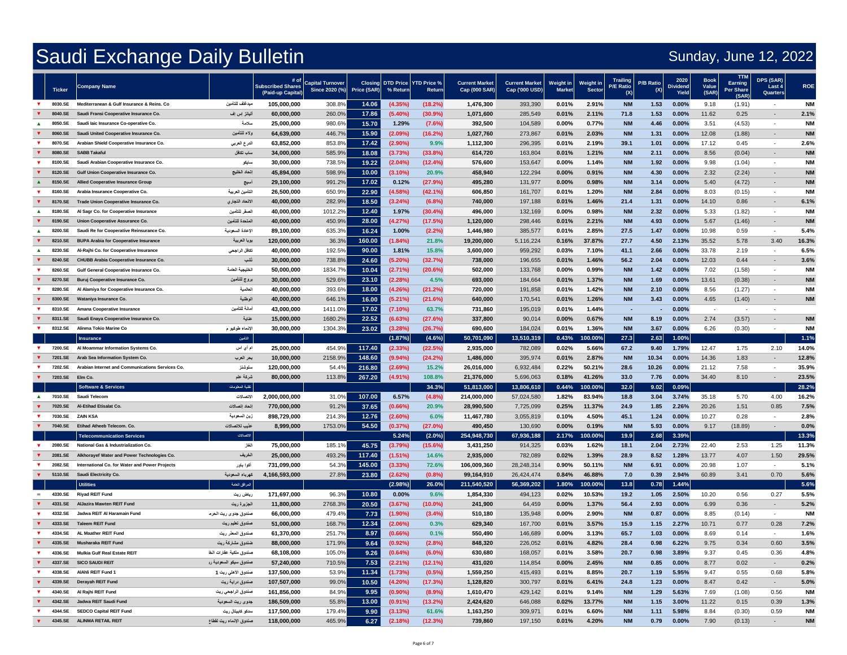|               | Saudi Exchange Daily Bulletin                           |                         |                                                       |                                           |                       |                                             |               |                                        |                                         |                            |                            |                                     |             |                                         |                               |                                                    | Sunday, June 12, 2022                         |                         |
|---------------|---------------------------------------------------------|-------------------------|-------------------------------------------------------|-------------------------------------------|-----------------------|---------------------------------------------|---------------|----------------------------------------|-----------------------------------------|----------------------------|----------------------------|-------------------------------------|-------------|-----------------------------------------|-------------------------------|----------------------------------------------------|-----------------------------------------------|-------------------------|
| <b>Ticker</b> | <b>Company Name</b>                                     |                         | # of<br><b>Subscribed Shares</b><br>(Paid-up Capital) | <b>Capital Turnover</b><br>Since 2020 (%) | Price (SAR)           | Closing DTD Price   YTD Price %<br>% Return | <b>Return</b> | <b>Current Market</b><br>Cap (000 SAR) | <b>Current Market</b><br>Cap ('000 USD) | Weight in<br><b>Market</b> | <b>Weight in</b><br>Sector | Trailing<br><b>P/E Ratio</b><br>(X) | $P/B$ Ratio | 2020<br><b>Dividend</b><br><b>Yield</b> | <b>Book</b><br>Value<br>(SAR) | <b>TTM</b><br>Earning<br><b>Per Share</b><br>(SAR) | <b>DPS (SAR)</b><br>Last 4<br><b>Quarters</b> | <b>ROE</b>              |
| 8030.SE       | Mediterranean & Gulf Insurance & Reins. Co              | ميدغلف للتأمين          | 105,000,000                                           | 308.8%                                    | 14.06                 | (4.35%                                      | (18.2%)       | 1,476,300                              | 393,390                                 | 0.01%                      | 2.91%                      | <b>NM</b>                           | 1.53        | 0.00%                                   | 9.18                          | (1.91)                                             |                                               | <b>NM</b>               |
| 8040.SE       | Saudi Fransi Cooperative Insurance Co.                  | أليانز إس إف            | 60,000,000                                            | 260.0%                                    | 17.86                 | (5.40%                                      | $(30.9\%)$    | 1,071,600                              | 285,549                                 | 0.01%                      | 2.11%                      | 71.8                                | 1.53        | 0.00%                                   | 11.62                         | 0.25                                               |                                               | 2.1%                    |
| 8050.SE       | Saudi laic Insurance Co-operative Co.                   | سلامة                   | 25,000,000                                            | 980.6%                                    | 15.70                 | 1.29%                                       | (7.6%)        | 392,500                                | 104,589                                 | 0.00%                      | 0.77%                      | <b>NM</b>                           | 4.46        | 0.00%                                   | 3.51                          | (4.53)                                             |                                               | <b>NM</b>               |
| 8060.SE       | Saudi United Cooperative Insurance Co.                  | ولاء للتأمين            | 64,639,000                                            | 446.7%                                    | 15.90                 | (2.09%                                      | (16.2%)       | 1,027,760                              | 273,867                                 | 0.01%                      | 2.03%                      | <b>NM</b>                           | 1.31        | 0.00%                                   | 12.08                         | (1.88)                                             |                                               | <b>NM</b>               |
| 8070.SE       | Arabian Shield Cooperative Insurance Co.                | الدرع العربي            | 63,852,000                                            | 853.8%                                    | 17.42                 | $(2.90\%)$                                  | 9.9%          | 1,112,300                              | 296,395                                 | 0.01%                      | 2.19%                      | 39.1                                | 1.01        | $0.00$ <sup>%</sup>                     | 17.12                         | 0.45                                               |                                               | 2.6%                    |
| 8080.SE       | <b>SABB Takaful</b>                                     | ساب تكافل               | 34,000,000                                            | 585.9%                                    | 18.08                 | (3.73%                                      | $(33.8\%)$    | 614,720                                | 163,804                                 | 0.01%                      | 1.21%                      | <b>NM</b>                           | 2.11        | 0.00%                                   | 8.56                          | (0.04)                                             |                                               | <b>NM</b>               |
| 8100.SE       | Saudi Arabian Cooperative Insurance Co.                 | سايكو                   | 30,000,000                                            | 738.5%                                    | 19.22                 | (2.04%                                      | $(12.4\%)$    | 576,600                                | 153,647                                 | 0.00%                      | 1.14%                      | <b>NM</b>                           | 1.92        | 0.00%                                   | 9.98                          | (1.04)                                             |                                               | <b>NM</b>               |
|               | <b>Gulf Union Cooperative Insurance Co.</b>             | إتحاد الخليج            | 45,894,000                                            | 598.9%                                    | 10.00                 | $(3.10\%)$                                  | 20.9%         | 458,940                                | 122,294                                 | 0.00%                      | 0.91%                      | <b>NM</b>                           | 4.30        | 0.00%                                   | 2.32                          | (2.24)                                             |                                               | <b>NM</b>               |
| 8150.SE       | <b>Allied Cooperative Insurance Group</b>               | أسيج                    | 29,100,000                                            | 991.2%                                    | 17.02                 | 0.12%                                       | (27.9%)       | 495,280                                | 131,977                                 | 0.00%                      | 0.98%                      | <b>NM</b>                           | 3.14        | 0.00%                                   | 5.40                          | (4.72)                                             |                                               | <b>NM</b>               |
| 8160.SE       | Arabia Insurance Cooperative Co.                        | التأمين العربية         | 26,500,000                                            | 650.9%                                    | 22.90                 | 4.58%                                       | $(42.1\%)$    | 606,850                                | 161,707                                 | 0.01%                      | 1.20%                      | <b>NM</b>                           | 2.84        | 0.00%                                   | 8.03                          | (0.15)                                             |                                               | <b>NM</b>               |
| 8170.SE       | <b>Trade Union Cooperative Insurance Co.</b>            | الاتحاد التجاري         | 40,000,000                                            | 282.9%                                    | 18.50                 | (3.24%                                      | (6.8%)        | 740,000                                | 197,188                                 | 0.01%                      | 1.46%                      | 21.4                                | 1.31        | 0.00%                                   | 14.10                         | 0.86                                               |                                               | 6.1%                    |
|               | Al Sagr Co. for Cooperative Insurance                   | الصفر للتأمين           | 40,000,000                                            | 1012.2%                                   | 12.40                 | 1.97%                                       | $(30.4\%)$    | 496,000                                | 132,169                                 | 0.00%                      | 0.98%                      | <b>NM</b>                           | 2.32        | 0.00%                                   | 5.33                          | (1.82)                                             |                                               | <b>NM</b>               |
| 8190.SE       | <b>Union Cooperative Assurance Co.</b>                  | المتحدة للتأمين         | 40,000,000                                            | 450.9%                                    | 28.00                 | (4.27%                                      | (17.5%)       | 1,120,000                              | 298,446                                 | 0.01%                      | 2.21%                      | <b>NM</b>                           | 4.93        | 0.00%                                   | 5.67                          | (1.46)                                             |                                               | <b>NM</b>               |
|               | Saudi Re for Cooperative Reinsurance Co.                | لإعادة السعودية         | 89,100,000                                            | 635.3%                                    | 16.24                 | 1.00%                                       | (2.2%)        | 1,446,980                              | 385,577                                 | 0.01%                      | 2.85%                      | 27.5                                | 1.47        | 0.00%                                   | 10.98                         | 0.59                                               |                                               | 5.4%                    |
| 8210.SE       | <b>BUPA Arabia for Cooperative Insurance</b>            | بوبا العربية            | 120,000,000                                           | 36.3%                                     | 160.00                | $(1.84\%)$                                  | 21.8%         | 19,200,000                             | 5,116,224                               | 0.16%                      | 37.87%                     | 27.7                                | 4.50        | 2.13%                                   | 35.52                         | 5.78                                               | 3.40                                          | 16.3%                   |
| 8230.SE       | Al-Rajhi Co. for Cooperative Insurance                  | تكافل الراجحي           | 40,000,000                                            | 192.5%                                    | 90.00                 | 1.81%                                       | 15.8%         | 3,600,000                              | 959,292                                 | 0.03%                      | 7.10%                      | 41.1                                | 2.66        | 0.00%                                   | 33.78                         | 2.19                                               |                                               | 6.5%                    |
| 8240.SE       | <b>CHUBB Arabia Cooperative Insurance Co.</b>           | ٹشب                     | 30,000,000                                            | 738.8%                                    | 24.60                 | $(5.20\%)$                                  | (32.7%)       | 738,000                                | 196,655                                 | 0.01%                      | 1.46%                      | 56.2                                | 2.04        | 0.00%                                   | 12.03                         | 0.44                                               |                                               | 3.6%                    |
| 8260.SE       | <b>Gulf General Cooperative Insurance Co.</b>           | الخليجية العامة         | 50,000,000                                            | 1834.7%                                   | 10.04                 | (2.71%                                      | (20.6%)       | 502,000                                | 133,768                                 | $0.00\%$                   | 0.99%                      | <b>NM</b>                           | 1.42        | 0.00%                                   | 7.02                          | (1.58)                                             |                                               | <b>NM</b>               |
| 8270.SE       | <b>Buruj Cooperative Insurance Co.</b>                  | بروج للتأمين            | 30,000,000                                            | 529.6%                                    | 23.10                 | (2.28%)                                     | 4.5%          | 693,000                                | 184,664                                 | 0.01%                      | 1.37%                      | <b>NM</b>                           | 1.69        | 0.00%                                   | 13.61                         | (0.38)                                             |                                               | <b>NM</b>               |
| 8280.SE       | Al Alamiya for Cooperative Insurance Co.                | العالمية                | 40,000,000                                            | 393.6%                                    | 18.00                 | $(4.26\%)$                                  | (21.2%)       | 720,000                                | 191,858                                 | 0.01%                      | 1.42%                      | <b>NM</b>                           | 2.10        | 0.00%                                   | 8.56                          | (1.27)                                             |                                               | <b>NM</b>               |
| 8300.SE       | Wataniya Insurance Co.                                  | الوطنية                 | 40,000,000                                            | 646.1%                                    | 16.00                 | (5.21%                                      | (21.6%)       | 640,000                                | 170,541                                 | 0.01%                      | 1.26%                      | <b>NM</b>                           | 3.43        | 0.00%                                   | 4.65                          | (1.40)                                             |                                               | <b>NM</b>               |
|               | <b>Amana Cooperative Insurance</b>                      | أمانة للتأمين           | 43,000,000                                            | 1411.0%                                   | 17.02                 | (7.10%)                                     | 63.7%         | 731,860                                | 195,019                                 | 0.01%                      | 1.44%                      | $\blacksquare$                      |             | 0.00%                                   |                               |                                                    |                                               |                         |
| 8311.SE       | Saudi Enaya Cooperative Insurance Co.                   | عناية                   | 15,000,000                                            | 1680.2%                                   | 22.52                 | (6.63%                                      | (27.6%)       | 337,800                                | 90,014                                  | 0.00%                      | 0.67%                      | <b>NM</b>                           | 8.19        | 0.00%                                   | 2.74                          | (3.57)                                             |                                               | <b>NM</b>               |
| 8312.SE       | Alinma Tokio Marine Co                                  | الإنماء طوكيو م         | 30,000,000                                            | 1304.3%                                   | 23.02                 | (3.28%                                      | (26.7%)       | 690,600                                | 184,024                                 | 0.01%                      | 1.36%                      | <b>NM</b>                           | 3.67        | 0.00%                                   | 6.26                          | (0.30)                                             |                                               | <b>NM</b>               |
|               | Insurance                                               | التأمين                 |                                                       |                                           |                       | (1.87%)                                     | $(4.6\%)$     | 50,701,090                             | 13,510,319                              | 0.43%                      | 100.00%                    | 27.3                                | 2.63        | $1.00\%$                                |                               |                                                    |                                               | 1.1%                    |
| 7200.SE       | Al Moammar Information Systems Co.                      | ام آي اس                | 25,000,000                                            | 454.9%                                    | 117.40                | (2.33%                                      | (22.5%)       | 2,935,000                              | 782,089                                 | 0.02%                      | 5.66%                      | 67.2                                | 9.40        | 1.79%                                   | 12.47                         | 1.75                                               | 2.10                                          | 14.0%                   |
| 7201.SE       | Arab Sea Information System Co.                         | بحر العرب               | 10,000,000                                            | 2158.9%                                   | 148.60                | (9.94%                                      | (24.2%)       | 1,486,000                              | 395,974                                 | 0.01%                      | 2.87%                      | <b>NM</b>                           | 10.34       | 0.00%                                   | 14.36                         | 1.83                                               |                                               | 12.8%                   |
| 7202.SE       | <b>Arabian Internet and Communications Services Co.</b> | سلوشنز                  | 120,000,000                                           | 54.4%                                     | 216.80                | (2.69%)                                     | 15.2%         | 26,016,000                             | 6,932,484                               | 0.22%                      | 50.21%                     | 28.6                                | 10.26       | 0.00%                                   | 21.12                         | 7.58                                               |                                               | 35.9%                   |
| 7203.SE       | Elm Co.                                                 | شركة علم                | 80,000,000                                            | 113.8%                                    | 267.20                | $(4.91\%)$                                  | 108.8%        | 21,376,000                             | 5,696,063                               | 0.18%                      | 41.26%                     | 33.0                                | 7.76        | 0.00%                                   | 34.40                         | 8.10                                               |                                               | 23.5%                   |
|               | <b>Software &amp; Services</b>                          | تقنية المعلومات         |                                                       |                                           |                       |                                             | 34.3%         | 51,813,000                             | 13,806,610                              | 0.44%                      | $100.00\%$                 | 32.0                                | 9.02        | $ 0.09\% $                              |                               |                                                    |                                               | 28.2%                   |
| 7010.SE       | <b>Saudi Telecom</b>                                    | الاتصالات               | 2,000,000,000                                         | 31.0%                                     | 107.00                | 6.57%                                       | (4.8%)        | 214,000,000                            | 57,024,580                              | 1.82%                      | 83.94%                     | 18.8                                | 3.04        | 3.74%                                   | 35.18                         | 5.70                                               | 4.00                                          | 16.2%                   |
| 7020.SE       | <b>Al-Etihad Etisalat Co.</b>                           | إتحاد إتصالات           | 770,000,000                                           | 91.2%                                     | 37.65                 | (0.66%)                                     | 20.9%         | 28,990,500                             | 7,725,099                               | 0.25%                      | 11.37%                     | 24.9                                | 1.85        | 2.26%                                   | 20.26                         | 1.51                                               | 0.85                                          | 7.5%                    |
| 7030.SE       | <b>ZAIN KSA</b>                                         | زين السعودية            | 898,729,000                                           | 214.3%                                    | 12.76                 | $(2.60\%)$                                  | 6.0%          | 11,467,780                             | 3,055,819                               | 0.10%                      | 4.50%                      | 45.1                                | 1.24        | 0.00%                                   | 10.27                         | 0.28                                               |                                               | 2.8%                    |
| 7040.SE       | Etihad Atheeb Telecom. Co.                              | عذيب للاتصالات          | 8,999,000                                             | 1753.0%                                   | <b>54.50</b><br>טיידי | <b>IN 27041</b><br>7.JT 70                  | (27.0%)       | 490,450                                | 130,690                                 | 0.00%                      | 0.19%                      | <b>NIM</b>                          | 5 Q ?       | $\Omega$<br><b>0.0070</b>               | Q <sub>17</sub><br>J. I I     | (18.89)                                            |                                               | በ በ%<br>$V_{1}$ $V_{2}$ |
|               | <b>Telecommunication Services</b>                       | الاتصالات               |                                                       |                                           |                       | 5.24%                                       | $(2.0\%)$     | 254,948,730                            | 67,936,188                              | 2.17%                      | 100.00%                    | 19.9                                | 2.68        | 3.39%                                   |                               |                                                    |                                               | 13.3%                   |
| 2080.SE       | <b>National Gas &amp; Industrialization Co.</b>         | الغاز                   | 75,000,000                                            | 185.1%                                    | 45.75                 | (3.79%)                                     | (15.6%)       | 3,431,250                              | 914,325                                 | 0.03%                      | 1.62%                      | 18.1                                | 2.04        | 2.73%                                   | 22.40                         | 2.53                                               | 1.25                                          | 11.3%                   |
| 2081.SE       | Alkhorayef Water and Power Technologies Co.             | الخريف                  | 25,000,000                                            | 493.2%                                    | 117.40                | $(1.51\%)$                                  | 14.6%         | 2,935,000                              | 782,089                                 | 0.02%                      | 1.39%                      | 28.9                                | 8.52        | 1.28%                                   | 13.77                         | 4.07                                               | 1.50                                          | 29.5%                   |
| 2082.SE       | <b>International Co. for Water and Power Projects</b>   | أكوا باور               | 731,099,000                                           | 54.3%                                     | 145.00                | (3.33%)                                     | 72.6%         | 106,009,360                            | 28,248,314                              | 0.90%                      | 50.11%                     | <b>NM</b>                           | 6.91        | 0.00%                                   | 20.98                         | 1.07                                               |                                               | 5.1%                    |
| 5110.SE       | <b>Saudi Electricity Co.</b>                            | كهرباء السعودية         | 166,593,000                                           | 27.8%                                     | 23.80                 | (2.62%)                                     | (0.8%)        | 99,164,910                             | 26,424,474                              | 0.84%                      | 46.88%                     | 7.0                                 | 0.39        | 2.94%                                   | 60.89                         | 3.41                                               | 0.70                                          | 5.6%                    |
|               | <b>Utilities</b>                                        | المرافق العامة          |                                                       |                                           |                       | $(2.98\%)$                                  | 26.0%         | 211,540,520                            | 56,369,202                              | 1.80%                      | 100.00%                    | 13.8                                | 0.78        | 1.44%                                   |                               |                                                    |                                               | 5.6%                    |
| 4330.SE       | <b>Riyad REIT Fund</b>                                  | ریاض ریت                | 171,697,000                                           | 96.3%                                     | 10.80                 | 0.00%                                       | 9.6%          | 1,854,330                              | 494,123                                 | 0.02%                      | 10.53%                     | 19.2                                | 1.05        | 2.50%                                   | 10.20                         | 0.56                                               | 0.27                                          | 5.5%                    |
| 4331.SE       | <b>AlJazira Mawten REIT Fund</b>                        | الجزيرة ريت             | 11,800,000                                            | 2768.3%                                   | 20.50                 | (3.67%)                                     | $(10.0\%)$    | 241,900                                | 64,459                                  | 0.00%                      | 1.37%                      | 56.4                                | 2.93        | 0.00%                                   | 6.99                          | 0.36                                               | ۰.                                            | 5.2%                    |
| 4332.SE       | <b>Jadwa REIT AI Haramain Fund</b>                      | صندوق جدوى ريت الحرم    | 66,000,000                                            | 479.4%                                    | 7.73                  | $(1.90\%)$                                  | (3.4%)        | 510,180                                | 135,948                                 | $0.00\%$                   | $2.90\%$                   | <b>NM</b>                           | 0.87        | 0.00%                                   | 8.85                          | (0.14)                                             | $\sim$                                        | <b>NM</b>               |
| 4333.SE       | <b>Taleem REIT Fund</b>                                 | صندوق تعليم ريت         | 51,000,000                                            | 168.7%                                    | 12.34                 | $(2.06\%)$                                  | 0.3%          | 629,340                                | 167,700                                 | 0.01%                      | 3.57%                      | 15.9                                | 1.15        | 2.27%                                   | 10.71                         | 0.77                                               | 0.28                                          | 7.2%                    |
| 4334.SE       | <b>AL Maather REIT Fund</b>                             | صندوق المعذر ريت        | 61,370,000                                            | 251.7%                                    | 8.97                  | (0.66%)                                     | 0.1%          | 550,490                                | 146,689                                 | $0.00\%$                   | 3.13%                      | 65.7                                | 1.03        | 0.00%                                   | 8.69                          | 0.14                                               |                                               | 1.6%                    |
| 4335.SE       | <b>Musharaka REIT Fund</b>                              | ضندوق مشاركة ريت        | 88,000,000                                            | 171.9%                                    | 9.64                  | $(0.92\%)$                                  | $(2.8\%)$     | 848,320                                | 226,052                                 | 0.01%                      | 4.82%                      | 28.4                                | 0.98        | 6.22%                                   | 9.75                          | 0.34                                               | 0.60                                          | 3.5%                    |
| 4336.SE       | <b>Mulkia Gulf Real Estate REIT</b>                     | صندوق ملكية عقارات الخا | 68,108,000                                            | 105.0%                                    | 9.26                  | (0.64%                                      | (6.0%         | 630,680                                | 168,057                                 | 0.01%                      | 3.58%                      | 20.7                                | 0.98        | 3.89%                                   | 9.37                          | 0.45                                               | 0.36                                          | 4.8%                    |
| 4337.SE       | <b>SICO SAUDI REIT</b>                                  | صندوق سيكو السعودية ر.  | 57,240,000                                            | 710.5%                                    | 7.53                  | (2.21%                                      | $(12.1\%)$    | 431,020                                | 114,854                                 | $0.00\%$                   | 2.45%                      | <b>NM</b>                           | 0.85        | 0.00%                                   | 8.77                          | 0.02                                               |                                               | 0.2%                    |
| 4338.SE       | <b>AlAhli REIT Fund 1</b>                               | صندوق الأهلي ريت 1      | 137,500,000                                           | 53.9%                                     | 11.34                 | (1.73%                                      | $(0.5\%)$     | 1,559,250                              | 415,493                                 | 0.01%                      | 8.85%                      | 20.7                                | 1.19        | 5.95%                                   | 9.47                          | 0.55                                               | 0.68                                          | 5.8%                    |
| 4339.SE       | <b>Derayah REIT Fund</b>                                | صندوق دراية ريت         | 107,507,000                                           | 99.0%                                     | 10.50                 | $(4.20\%)$                                  | (17.3%)       | 1,128,820                              | 300,797                                 | 0.01%                      | 6.41%                      | 24.8                                | 1.23        | 0.00%                                   | 8.47                          | 0.42                                               |                                               | 5.0%                    |
| 4340.SE       | Al Rajhi REIT Fund                                      | صندوق الراجحي ريت       | 161,856,000                                           | 84.9%                                     | 9.95                  | $(0.90\%)$                                  | $(8.9\%)$     | 1,610,470                              | 429,142                                 | 0.01%                      | 9.14%                      | <b>NM</b>                           | 1.29        | 5.63%                                   | 7.69                          | (1.08)                                             | 0.56                                          | <b>NM</b>               |
|               | Jadwa REIT Saudi Fund                                   | جدوى ريت السعودية       | 186,509,000                                           | 55.8%                                     | 13.00                 | $(0.91\%)$                                  | $(13.2\%)$    | 2,424,620                              | 646,088                                 | 0.02%                      | 13.77%                     | <b>NM</b>                           | 1.15        | 3.00%                                   | 11.22                         | 0.15                                               | 0.39                                          | 1.3%                    |
|               | <b>SEDCO Capital REIT Fund</b>                          | سدكو كابيتال ريت        | 117,500,000                                           | 179.4%                                    | 9.90                  | (3.13%)                                     | 61.6%         | 1,163,250                              | 309,971                                 | 0.01%                      | 6.60%                      | <b>NM</b>                           | 1.11        | 5.98%                                   | 8.84                          | (0.30)                                             | 0.59                                          | <b>NM</b>               |
|               | 4345.SE ALINMA RETAIL REIT                              | صندوق الإنماء ريت لقطاع | 118,000,000                                           | 465.9%                                    | 6.27                  | (2.18%)                                     | (12.3%)       | 739,860                                | 197,150                                 | 0.01%                      | 4.20%                      | <b>NM</b>                           | 0.79        | $0.00\%$                                | 7.90                          | (0.13)                                             |                                               | <b>NM</b>               |